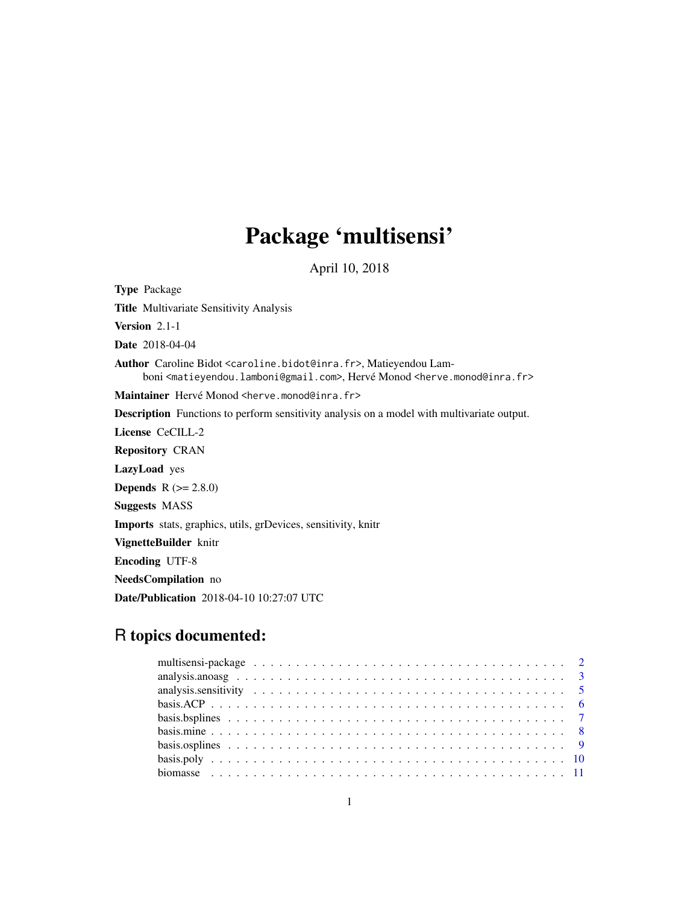# Package 'multisensi'

April 10, 2018

<span id="page-0-0"></span>Type Package Title Multivariate Sensitivity Analysis Version 2.1-1 Date 2018-04-04 Author Caroline Bidot <caroline.bidot@inra.fr>, Matieyendou Lamboni <matieyendou.lamboni@gmail.com>, Hervé Monod <herve.monod@inra.fr> Maintainer Hervé Monod <herve.monod@inra.fr> Description Functions to perform sensitivity analysis on a model with multivariate output. License CeCILL-2 Repository CRAN LazyLoad yes **Depends**  $R (= 2.8.0)$ Suggests MASS Imports stats, graphics, utils, grDevices, sensitivity, knitr VignetteBuilder knitr Encoding UTF-8 NeedsCompilation no

Date/Publication 2018-04-10 10:27:07 UTC

# R topics documented: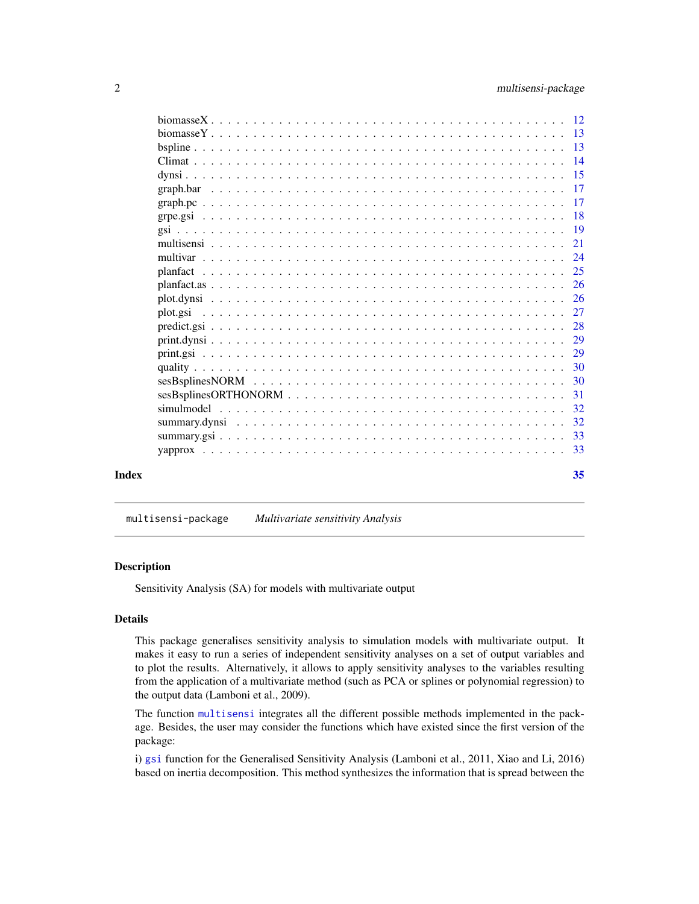<span id="page-1-0"></span>

|       | 32 |
|-------|----|
|       |    |
|       |    |
| Index | 35 |

multisensi-package *Multivariate sensitivity Analysis*

#### Description

Sensitivity Analysis (SA) for models with multivariate output

#### Details

This package generalises sensitivity analysis to simulation models with multivariate output. It makes it easy to run a series of independent sensitivity analyses on a set of output variables and to plot the results. Alternatively, it allows to apply sensitivity analyses to the variables resulting from the application of a multivariate method (such as PCA or splines or polynomial regression) to the output data (Lamboni et al., 2009).

The function [multisensi](#page-20-1) integrates all the different possible methods implemented in the package. Besides, the user may consider the functions which have existed since the first version of the package:

i) [gsi](#page-18-1) function for the Generalised Sensitivity Analysis (Lamboni et al., 2011, Xiao and Li, 2016) based on inertia decomposition. This method synthesizes the information that is spread between the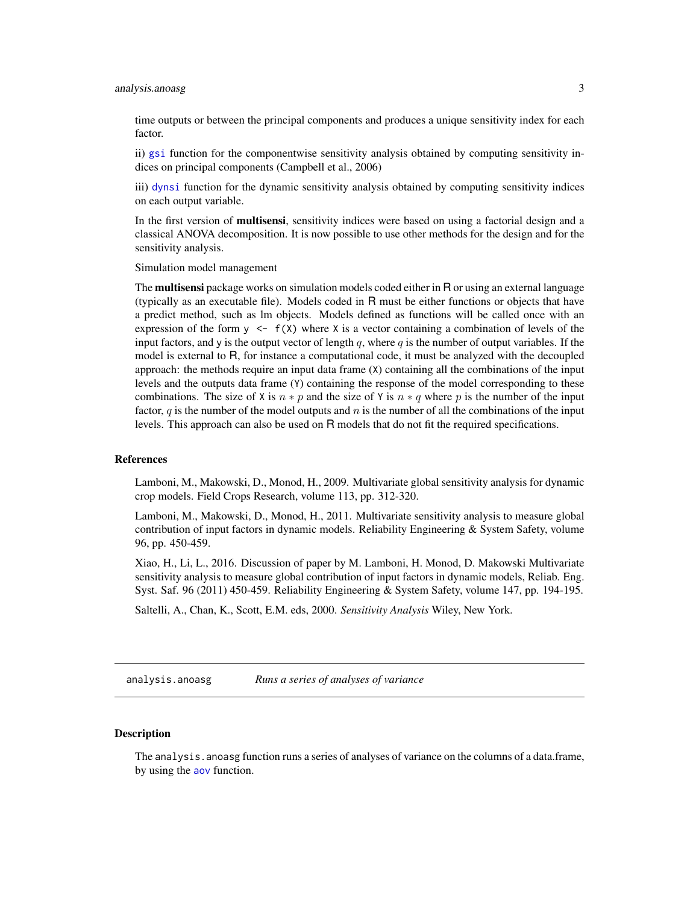# <span id="page-2-0"></span>analysis.anoasg 3

time outputs or between the principal components and produces a unique sensitivity index for each factor.

ii) [gsi](#page-18-1) function for the componentwise sensitivity analysis obtained by computing sensitivity indices on principal components (Campbell et al., 2006)

iii) [dynsi](#page-14-1) function for the dynamic sensitivity analysis obtained by computing sensitivity indices on each output variable.

In the first version of **multisensi**, sensitivity indices were based on using a factorial design and a classical ANOVA decomposition. It is now possible to use other methods for the design and for the sensitivity analysis.

Simulation model management

The **multisensi** package works on simulation models coded either in R or using an external language (typically as an executable file). Models coded in R must be either functions or objects that have a predict method, such as lm objects. Models defined as functions will be called once with an expression of the form  $y \leq f(X)$  where X is a vector containing a combination of levels of the input factors, and y is the output vector of length  $q$ , where  $q$  is the number of output variables. If the model is external to R, for instance a computational code, it must be analyzed with the decoupled approach: the methods require an input data frame (X) containing all the combinations of the input levels and the outputs data frame (Y) containing the response of the model corresponding to these combinations. The size of X is  $n * p$  and the size of Y is  $n * q$  where p is the number of the input factor,  $q$  is the number of the model outputs and n is the number of all the combinations of the input levels. This approach can also be used on R models that do not fit the required specifications.

#### References

Lamboni, M., Makowski, D., Monod, H., 2009. Multivariate global sensitivity analysis for dynamic crop models. Field Crops Research, volume 113, pp. 312-320.

Lamboni, M., Makowski, D., Monod, H., 2011. Multivariate sensitivity analysis to measure global contribution of input factors in dynamic models. Reliability Engineering & System Safety, volume 96, pp. 450-459.

Xiao, H., Li, L., 2016. Discussion of paper by M. Lamboni, H. Monod, D. Makowski Multivariate sensitivity analysis to measure global contribution of input factors in dynamic models, Reliab. Eng. Syst. Saf. 96 (2011) 450-459. Reliability Engineering & System Safety, volume 147, pp. 194-195.

Saltelli, A., Chan, K., Scott, E.M. eds, 2000. *Sensitivity Analysis* Wiley, New York.

<span id="page-2-1"></span>analysis.anoasg *Runs a series of analyses of variance*

# **Description**

The analysis. anoasg function runs a series of analyses of variance on the columns of a data.frame, by using the [aov](#page-0-0) function.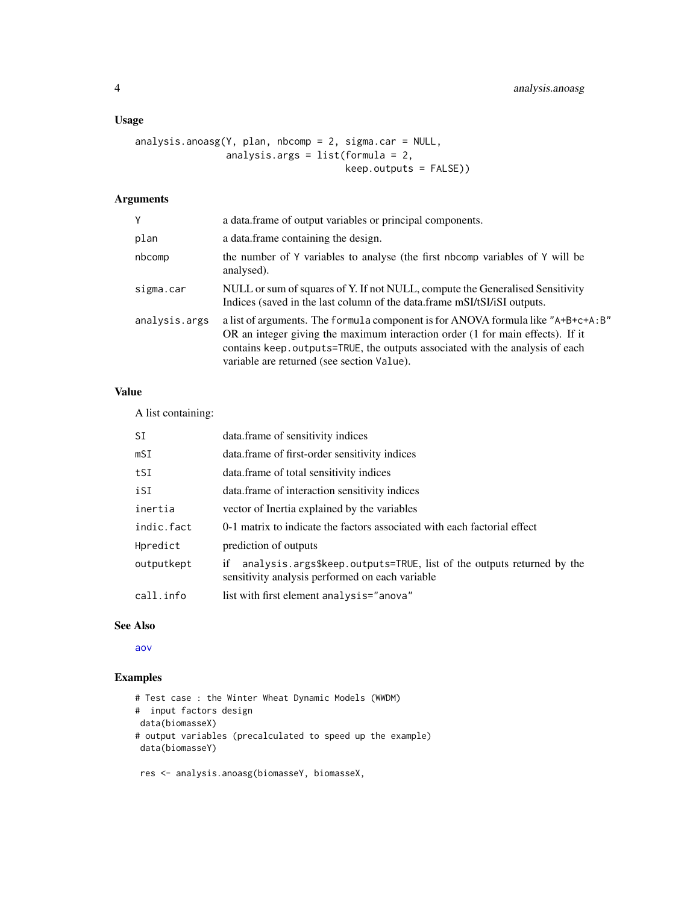# <span id="page-3-0"></span>Usage

```
analysis.anoasg(Y, plan, nbcomp = 2, sigma.car = NULL,
                analysis.args = list(formula = 2,
                                     keep.outputs = FALSE))
```
# Arguments

| Y             | a data. frame of output variables or principal components.                                                                                                                                                                                                                                        |
|---------------|---------------------------------------------------------------------------------------------------------------------------------------------------------------------------------------------------------------------------------------------------------------------------------------------------|
| plan          | a data. frame containing the design.                                                                                                                                                                                                                                                              |
| nbcomp        | the number of Y variables to analyse (the first nbcomp variables of Y will be<br>analysed).                                                                                                                                                                                                       |
| sigma.car     | NULL or sum of squares of Y. If not NULL, compute the Generalised Sensitivity<br>Indices (saved in the last column of the data.frame mSI/tSI/iSI outputs.                                                                                                                                         |
| analysis.args | a list of arguments. The formula component is for ANOVA formula like "A+B+c+A:B"<br>OR an integer giving the maximum interaction order (1 for main effects). If it<br>contains keep. outputs=TRUE, the outputs associated with the analysis of each<br>variable are returned (see section Value). |

#### Value

A list containing:

| SI         | data.frame of sensitivity indices                                                                                              |
|------------|--------------------------------------------------------------------------------------------------------------------------------|
| mSI        | data.frame of first-order sensitivity indices                                                                                  |
| tSI        | data.frame of total sensitivity indices                                                                                        |
| iSI        | data.frame of interaction sensitivity indices                                                                                  |
| inertia    | vector of Inertia explained by the variables                                                                                   |
| indic.fact | 0-1 matrix to indicate the factors associated with each factorial effect                                                       |
| Hpredict   | prediction of outputs                                                                                                          |
| outputkept | analysis.args\$keep.outputs=TRUE, list of the outputs returned by the<br>if<br>sensitivity analysis performed on each variable |
| call.info  | list with first element analysis="anova"                                                                                       |

### See Also

[aov](#page-0-0)

# Examples

```
# Test case : the Winter Wheat Dynamic Models (WWDM)
# input factors design
data(biomasseX)
# output variables (precalculated to speed up the example)
data(biomasseY)
 res <- analysis.anoasg(biomasseY, biomasseX,
```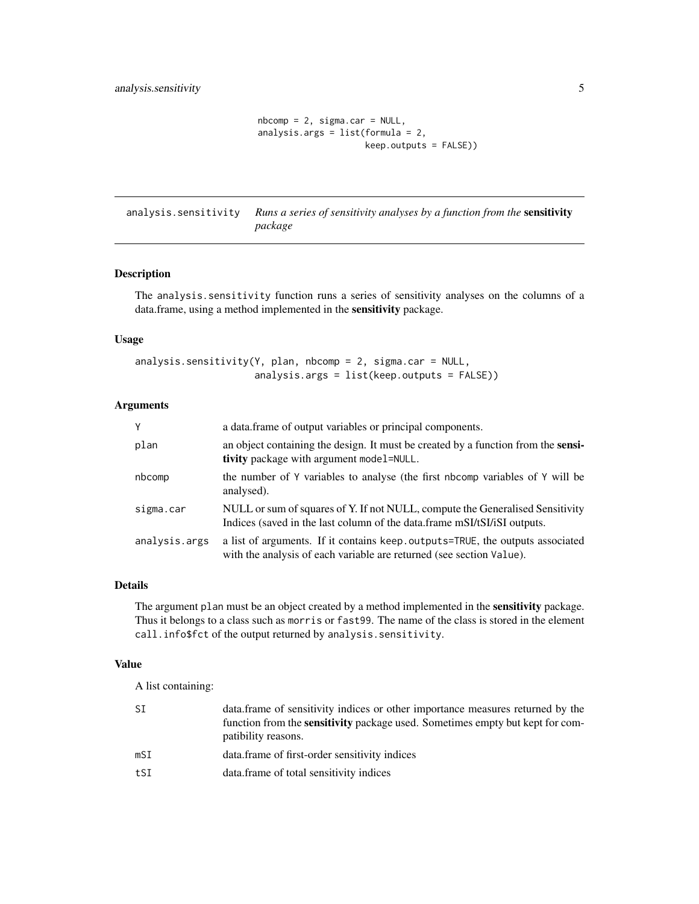```
n\text{bcomp} = 2, sigma.car = NULL,
analysis.args = list(formula = 2,
                      keep.outputs = FALSE))
```
<span id="page-4-0"></span>analysis.sensitivity *Runs a series of sensitivity analyses by a function from the* sensitivity *package*

#### Description

The analysis.sensitivity function runs a series of sensitivity analyses on the columns of a data.frame, using a method implemented in the sensitivity package.

#### Usage

```
analysis.sensitivity(Y, plan, nbcomp = 2, sigma.car = NULL,
                     analysis.args = list(keep.outputs = FALSE))
```
#### Arguments

| Y             | a data.frame of output variables or principal components.                                                                                                 |
|---------------|-----------------------------------------------------------------------------------------------------------------------------------------------------------|
| plan          | an object containing the design. It must be created by a function from the sensi-<br>tivity package with argument model=NULL.                             |
| nbcomp        | the number of Y variables to analyse (the first nbcomp variables of Y will be<br>analysed).                                                               |
| sigma.car     | NULL or sum of squares of Y. If not NULL, compute the Generalised Sensitivity<br>Indices (saved in the last column of the data.frame mSI/tSI/iSI outputs. |
| analysis.args | a list of arguments. If it contains keep outputs=TRUE, the outputs associated<br>with the analysis of each variable are returned (see section Value).     |

## Details

The argument plan must be an object created by a method implemented in the sensitivity package. Thus it belongs to a class such as morris or fast99. The name of the class is stored in the element call.info\$fct of the output returned by analysis.sensitivity.

#### Value

A list containing:

| SΙ  | data. frame of sensitivity indices or other importance measures returned by the<br>function from the <b>sensitivity</b> package used. Sometimes empty but kept for com-<br>patibility reasons. |
|-----|------------------------------------------------------------------------------------------------------------------------------------------------------------------------------------------------|
| mSI | data.frame of first-order sensitivity indices                                                                                                                                                  |
| tSI | data.frame of total sensitivity indices                                                                                                                                                        |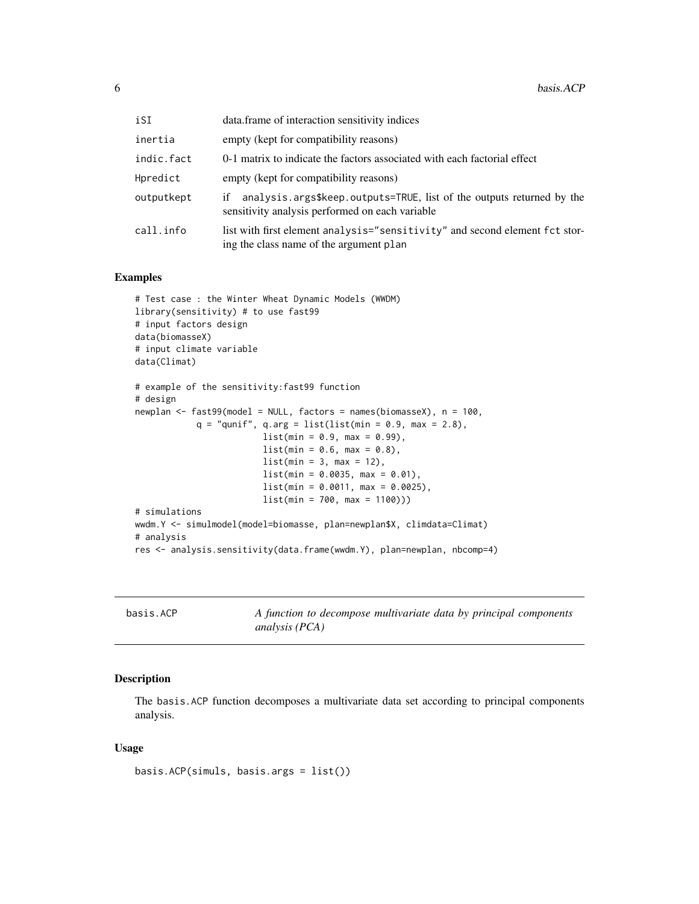<span id="page-5-0"></span>

| iSI        | data.frame of interaction sensitivity indices                                                                                  |
|------------|--------------------------------------------------------------------------------------------------------------------------------|
| inertia    | empty (kept for compatibility reasons)                                                                                         |
| indic.fact | 0-1 matrix to indicate the factors associated with each factorial effect                                                       |
| Hpredict   | empty (kept for compatibility reasons)                                                                                         |
| outputkept | analysis.args\$keep.outputs=TRUE, list of the outputs returned by the<br>iť<br>sensitivity analysis performed on each variable |
| call.info  | list with first element analysis="sensitivity" and second element fct stor-<br>ing the class name of the argument plan         |

# Examples

```
# Test case : the Winter Wheat Dynamic Models (WWDM)
library(sensitivity) # to use fast99
# input factors design
data(biomasseX)
# input climate variable
data(Climat)
# example of the sensitivity:fast99 function
# design
newplan <- fast99(model = NULL, factors = names(biomasseX), n = 100,
            q = "qunit", q.argv = list(list(min = 0.9, max = 2.8),list(min = 0.9, max = 0.99),
                         list(min = 0.6, max = 0.8),
                         list(min = 3, max = 12),
                         list(min = 0.0035, max = 0.01),list(min = 0.0011, max = 0.0025),
                         list(min = 700, max = 1100)))
# simulations
wwdm.Y <- simulmodel(model=biomasse, plan=newplan$X, climdata=Climat)
# analysis
res <- analysis.sensitivity(data.frame(wwdm.Y), plan=newplan, nbcomp=4)
```
<span id="page-5-1"></span>basis.ACP *A function to decompose multivariate data by principal components analysis (PCA)*

#### Description

The basis.ACP function decomposes a multivariate data set according to principal components analysis.

#### Usage

```
basis.ACP(simuls, basis.args = list())
```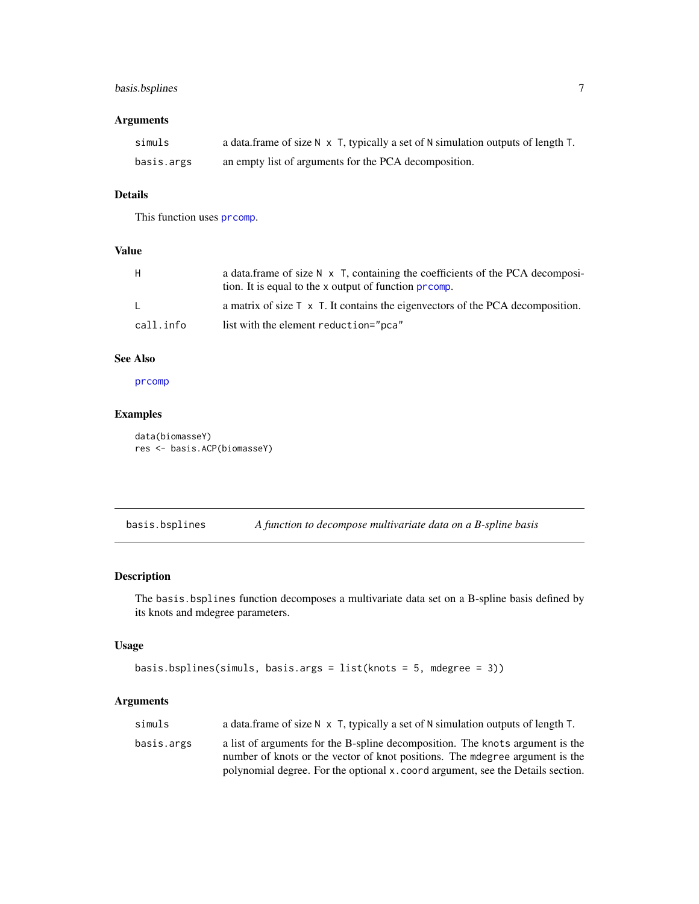# <span id="page-6-0"></span>basis.bsplines 7

# Arguments

| simuls     | a data.frame of size $N \times T$ , typically a set of $N$ simulation outputs of length $T$ . |
|------------|-----------------------------------------------------------------------------------------------|
| basis.args | an empty list of arguments for the PCA decomposition.                                         |

# Details

This function uses [prcomp](#page-0-0).

# Value

| H.        | a data frame of size $N \times T$ , containing the coefficients of the PCA decomposi-<br>tion. It is equal to the x output of function promp. |
|-----------|-----------------------------------------------------------------------------------------------------------------------------------------------|
|           | a matrix of size $\Gamma \times \Gamma$ . It contains the eigenvectors of the PCA decomposition.                                              |
| call.info | list with the element reduction="pca"                                                                                                         |

# See Also

[prcomp](#page-0-0)

# Examples

```
data(biomasseY)
res <- basis.ACP(biomasseY)
```
<span id="page-6-1"></span>basis.bsplines *A function to decompose multivariate data on a B-spline basis*

# Description

The basis.bsplines function decomposes a multivariate data set on a B-spline basis defined by its knots and mdegree parameters.

# Usage

```
basis.bsplines(simuls, basis.args = list(knots = 5, mdegree = 3))
```
# Arguments

| simuls     | a data. frame of size $N \times T$ , typically a set of N simulation outputs of length T. |
|------------|-------------------------------------------------------------------------------------------|
| basis.args | a list of arguments for the B-spline decomposition. The knots argument is the             |
|            | number of knots or the vector of knot positions. The medgree argument is the              |
|            | polynomial degree. For the optional x. coord argument, see the Details section.           |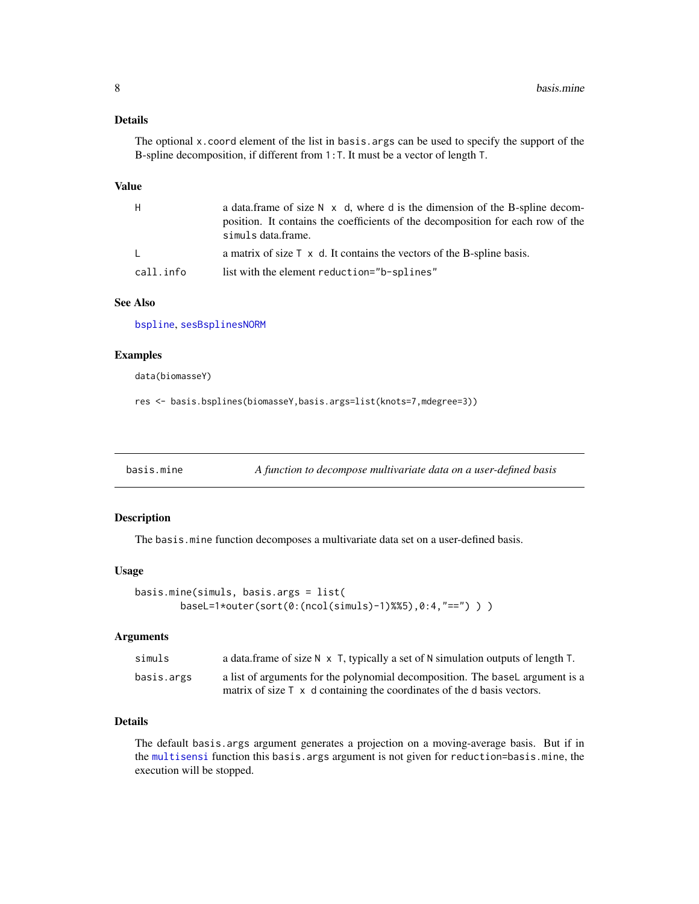#### <span id="page-7-0"></span>Details

The optional x.coord element of the list in basis.args can be used to specify the support of the B-spline decomposition, if different from 1:T. It must be a vector of length T.

#### Value

| H            | a data frame of size $N \times d$ , where d is the dimension of the B-spline decom-<br>position. It contains the coefficients of the decomposition for each row of the<br>simuls data.frame. |
|--------------|----------------------------------------------------------------------------------------------------------------------------------------------------------------------------------------------|
| $\mathbf{L}$ | a matrix of size $\top \times d$ . It contains the vectors of the B-spline basis.                                                                                                            |
| call.info    | list with the element reduction="b-splines"                                                                                                                                                  |

#### See Also

[bspline](#page-12-1), [sesBsplinesNORM](#page-29-1)

#### Examples

data(biomasseY)

```
res <- basis.bsplines(biomasseY,basis.args=list(knots=7,mdegree=3))
```
basis.mine *A function to decompose multivariate data on a user-defined basis*

#### Description

The basis.mine function decomposes a multivariate data set on a user-defined basis.

## Usage

```
basis.mine(simuls, basis.args = list(
       baseL=1*outer(sort(0:(ncol(simuls)-1)%%5),0:4,"==") ) )
```
#### Arguments

| simuls     | a data.frame of size $N \times T$ , typically a set of N simulation outputs of length T. |
|------------|------------------------------------------------------------------------------------------|
| basis.args | a list of arguments for the polynomial decomposition. The basel argument is a            |
|            | matrix of size $\top$ x d containing the coordinates of the d basis vectors.             |

# Details

The default basis.args argument generates a projection on a moving-average basis. But if in the [multisensi](#page-20-1) function this basis.args argument is not given for reduction=basis.mine, the execution will be stopped.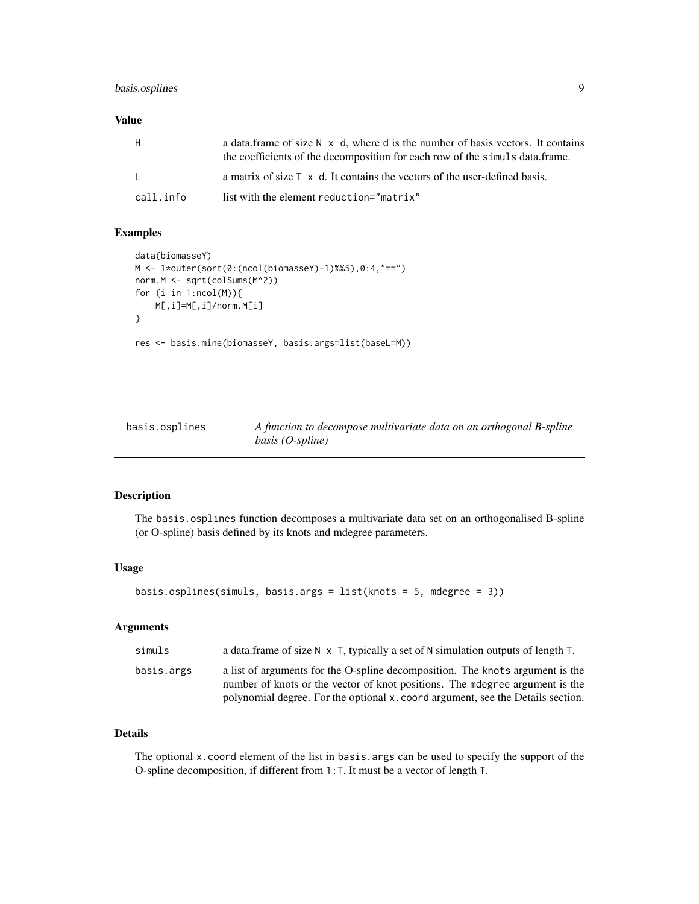# <span id="page-8-0"></span>basis.osplines 9

# Value

| H.        | a data frame of size $N \times d$ , where d is the number of basis vectors. It contains<br>the coefficients of the decomposition for each row of the simuls data.frame. |
|-----------|-------------------------------------------------------------------------------------------------------------------------------------------------------------------------|
| L.        | a matrix of size $\top$ x d. It contains the vectors of the user-defined basis.                                                                                         |
| call.info | list with the element reduction="matrix"                                                                                                                                |

# Examples

```
data(biomasseY)
M <- 1*outer(sort(0:(ncol(biomasseY)-1)%%5),0:4,"==")
norm.M <- sqrt(colSums(M^2))
for (i in 1:ncol(M)){
   M[,i]=M[,i]/norm.M[i]
}
res <- basis.mine(biomasseY, basis.args=list(baseL=M))
```
<span id="page-8-1"></span>

| basis.osplines | A function to decompose multivariate data on an orthogonal B-spline |
|----------------|---------------------------------------------------------------------|
|                | $basis (O-spline)$                                                  |

# Description

The basis.osplines function decomposes a multivariate data set on an orthogonalised B-spline (or O-spline) basis defined by its knots and mdegree parameters.

#### Usage

```
basis.osplines(simuls, basis.args = list(knots = 5, mdegree = 3))
```
# Arguments

| simuls     | a data. frame of size $N \times T$ , typically a set of N simulation outputs of length T.                                                                     |
|------------|---------------------------------------------------------------------------------------------------------------------------------------------------------------|
| basis.args | a list of arguments for the O-spline decomposition. The knots argument is the<br>number of knots or the vector of knot positions. The mdegree argument is the |
|            | polynomial degree. For the optional x, coord argument, see the Details section.                                                                               |

# Details

The optional x.coord element of the list in basis.args can be used to specify the support of the O-spline decomposition, if different from 1:T. It must be a vector of length T.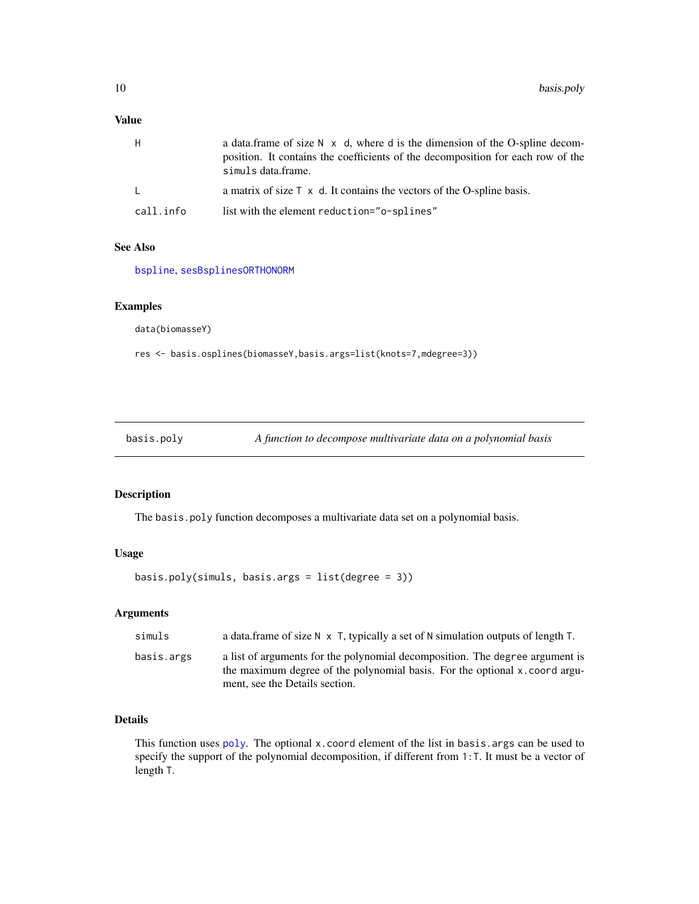# <span id="page-9-0"></span>Value

| H         | a data frame of size $N \times d$ , where d is the dimension of the O-spline decom-<br>position. It contains the coefficients of the decomposition for each row of the<br>simuls data.frame. |
|-----------|----------------------------------------------------------------------------------------------------------------------------------------------------------------------------------------------|
| $\perp$   | a matrix of size $\top \times d$ . It contains the vectors of the O-spline basis.                                                                                                            |
| call.info | list with the element reduction="o-splines"                                                                                                                                                  |

# See Also

[bspline](#page-12-1), [sesBsplinesORTHONORM](#page-30-1)

#### Examples

data(biomasseY)

res <- basis.osplines(biomasseY,basis.args=list(knots=7,mdegree=3))

<span id="page-9-1"></span>basis.poly *A function to decompose multivariate data on a polynomial basis*

# Description

The basis.poly function decomposes a multivariate data set on a polynomial basis.

# Usage

```
basis.poly(simuls, basis.args = list(degree = 3))
```
# Arguments

| simuls     | a data. frame of size $N \times T$ , typically a set of N simulation outputs of length T.                                                                                                     |
|------------|-----------------------------------------------------------------------------------------------------------------------------------------------------------------------------------------------|
| basis.args | a list of arguments for the polynomial decomposition. The degree argument is<br>the maximum degree of the polynomial basis. For the optional x, coord argu-<br>ment, see the Details section. |

# Details

This function uses  $poly$ . The optional x. coord element of the list in basis. args can be used to specify the support of the polynomial decomposition, if different from 1:T. It must be a vector of length T.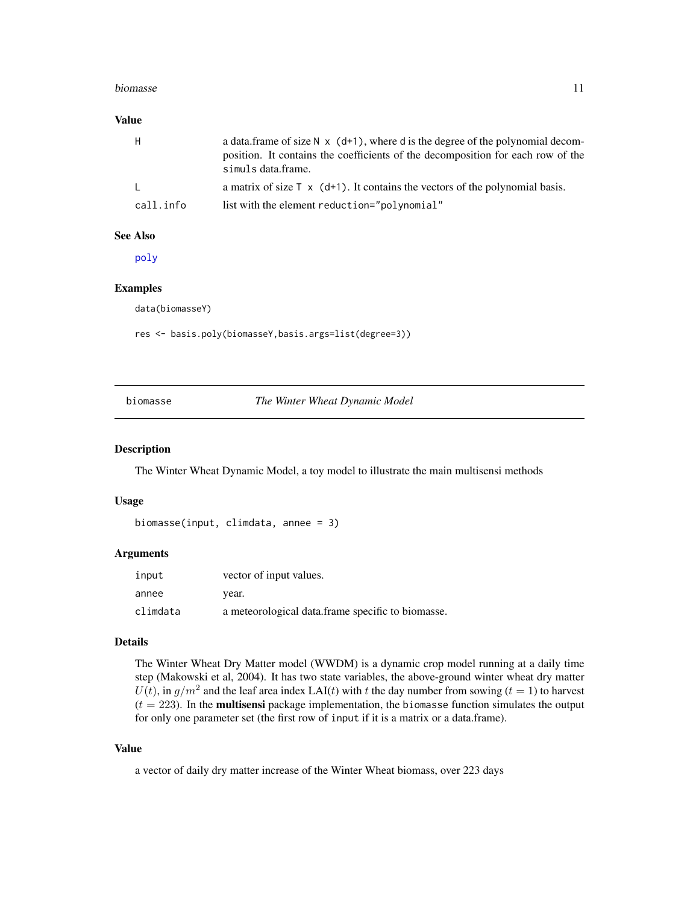#### <span id="page-10-0"></span>biomasse and the set of the set of the set of the set of the set of the set of the set of the set of the set of the set of the set of the set of the set of the set of the set of the set of the set of the set of the set of

#### Value

| H.        | a data. frame of size $N \times (d+1)$ , where d is the degree of the polynomial decom-<br>position. It contains the coefficients of the decomposition for each row of the<br>simuls data.frame. |
|-----------|--------------------------------------------------------------------------------------------------------------------------------------------------------------------------------------------------|
| L.        | a matrix of size $\top$ x (d+1). It contains the vectors of the polynomial basis.                                                                                                                |
| call.info | list with the element reduction="polynomial"                                                                                                                                                     |

#### See Also

[poly](#page-0-0)

#### Examples

data(biomasseY)

res <- basis.poly(biomasseY,basis.args=list(degree=3))

<span id="page-10-1"></span>biomasse *The Winter Wheat Dynamic Model*

#### Description

The Winter Wheat Dynamic Model, a toy model to illustrate the main multisensi methods

#### Usage

```
biomasse(input, climdata, annee = 3)
```
#### Arguments

| input    | vector of input values.                           |
|----------|---------------------------------------------------|
| annee    | vear.                                             |
| climdata | a meteorological data.frame specific to biomasse. |

#### Details

The Winter Wheat Dry Matter model (WWDM) is a dynamic crop model running at a daily time step (Makowski et al, 2004). It has two state variables, the above-ground winter wheat dry matter  $U(t)$ , in  $g/m^2$  and the leaf area index LAI(t) with t the day number from sowing ( $t = 1$ ) to harvest  $(t = 223)$ . In the **multisensi** package implementation, the biomasse function simulates the output for only one parameter set (the first row of input if it is a matrix or a data.frame).

# Value

a vector of daily dry matter increase of the Winter Wheat biomass, over 223 days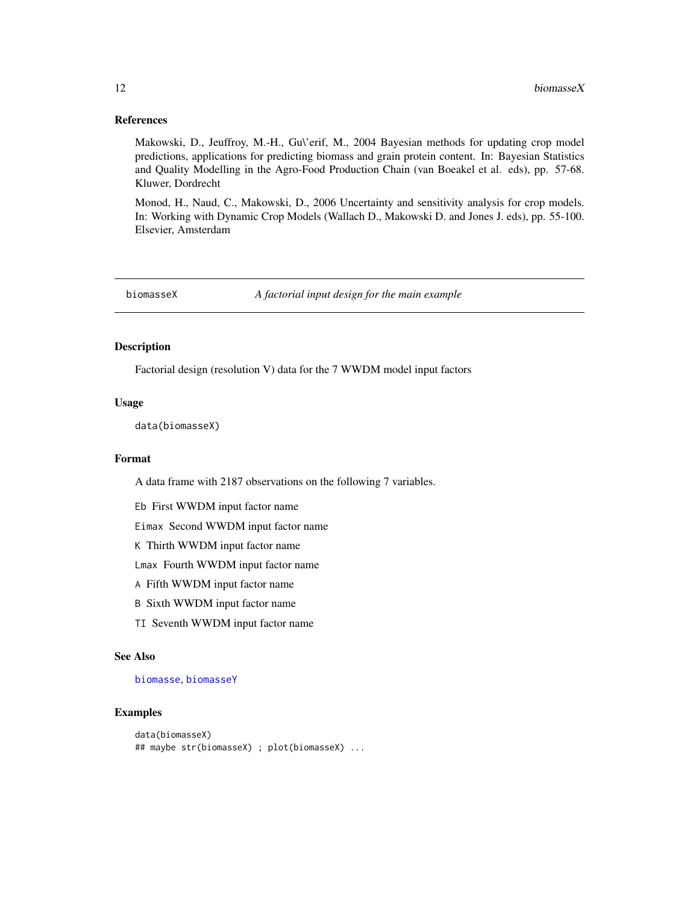#### References

Makowski, D., Jeuffroy, M.-H., Gu\'erif, M., 2004 Bayesian methods for updating crop model predictions, applications for predicting biomass and grain protein content. In: Bayesian Statistics and Quality Modelling in the Agro-Food Production Chain (van Boeakel et al. eds), pp. 57-68. Kluwer, Dordrecht

Monod, H., Naud, C., Makowski, D., 2006 Uncertainty and sensitivity analysis for crop models. In: Working with Dynamic Crop Models (Wallach D., Makowski D. and Jones J. eds), pp. 55-100. Elsevier, Amsterdam

<span id="page-11-1"></span>

biomasseX *A factorial input design for the main example*

# Description

Factorial design (resolution V) data for the 7 WWDM model input factors

#### Usage

data(biomasseX)

# Format

A data frame with 2187 observations on the following 7 variables.

Eb First WWDM input factor name

Eimax Second WWDM input factor name

K Thirth WWDM input factor name

Lmax Fourth WWDM input factor name

- A Fifth WWDM input factor name
- B Sixth WWDM input factor name
- TI Seventh WWDM input factor name

#### See Also

#### [biomasse](#page-10-1), [biomasseY](#page-12-2)

#### Examples

```
data(biomasseX)
## maybe str(biomasseX) ; plot(biomasseX) ...
```
<span id="page-11-0"></span>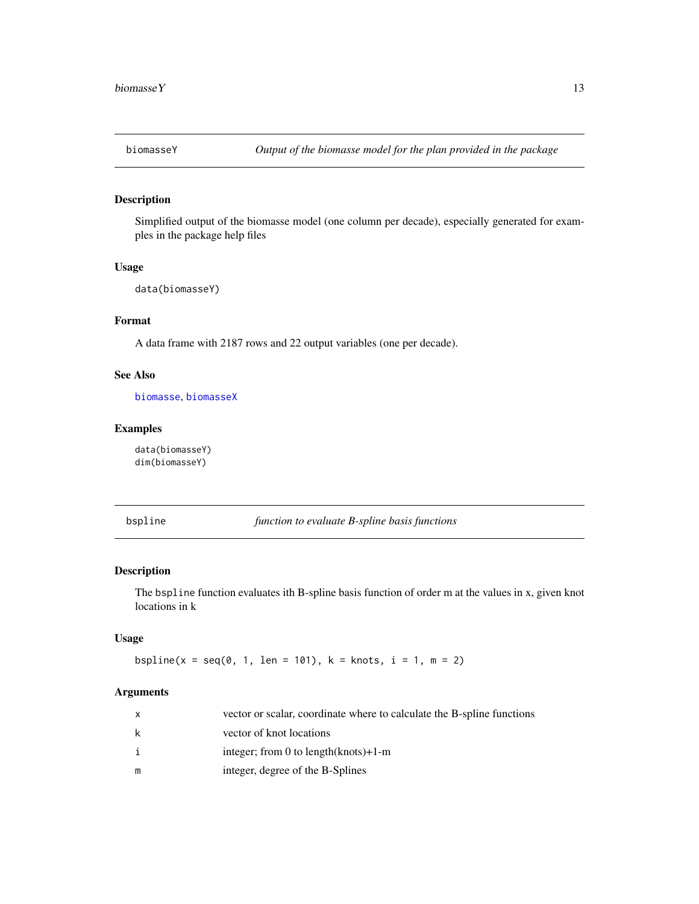<span id="page-12-2"></span><span id="page-12-0"></span>

# Description

Simplified output of the biomasse model (one column per decade), especially generated for examples in the package help files

#### Usage

```
data(biomasseY)
```
# Format

A data frame with 2187 rows and 22 output variables (one per decade).

# See Also

[biomasse](#page-10-1), [biomasseX](#page-11-1)

# Examples

data(biomasseY) dim(biomasseY)

<span id="page-12-1"></span>bspline *function to evaluate B-spline basis functions*

# Description

The bspline function evaluates ith B-spline basis function of order m at the values in x, given knot locations in k

#### Usage

```
bspline(x = seq(0, 1, len = 101), k = knots, i = 1, m = 2)
```
# Arguments

|   | vector or scalar, coordinate where to calculate the B-spline functions |
|---|------------------------------------------------------------------------|
| k | vector of knot locations                                               |
|   | integer; from 0 to length $(knots) + 1 - m$                            |
| m | integer, degree of the B-Splines                                       |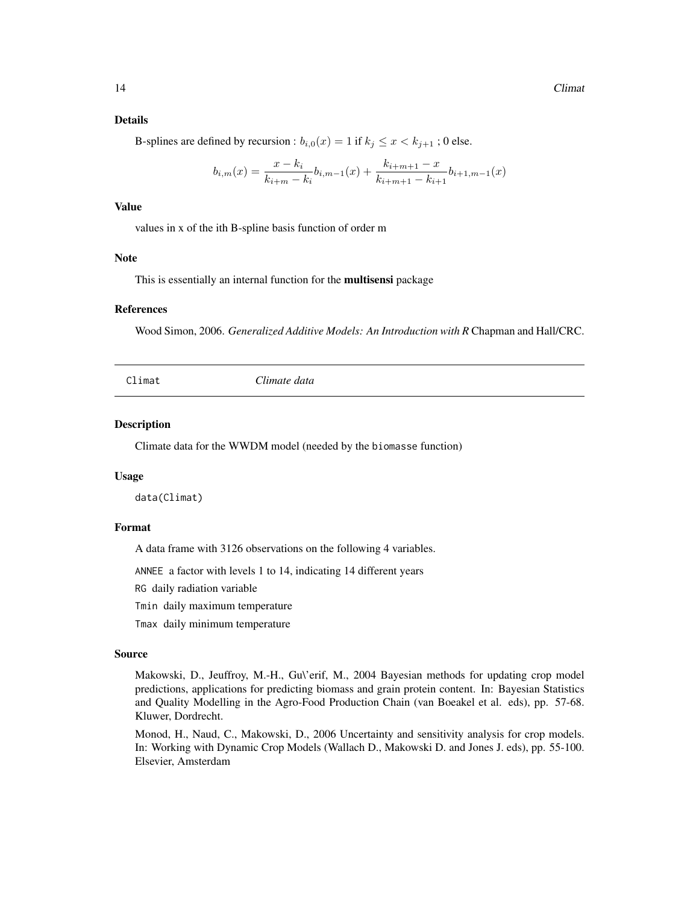#### <span id="page-13-0"></span>Details

B-splines are defined by recursion :  $b_{i,0}(x) = 1$  if  $k_j \leq x < k_{j+1}$ ; 0 else.

$$
b_{i,m}(x) = \frac{x - k_i}{k_{i+m} - k_i} b_{i,m-1}(x) + \frac{k_{i+m+1} - x}{k_{i+m+1} - k_{i+1}} b_{i+1,m-1}(x)
$$

## Value

values in x of the ith B-spline basis function of order m

#### Note

This is essentially an internal function for the multisensi package

#### References

Wood Simon, 2006. *Generalized Additive Models: An Introduction with R* Chapman and Hall/CRC.

Climat *Climate data*

#### Description

Climate data for the WWDM model (needed by the biomasse function)

#### Usage

data(Climat)

#### Format

A data frame with 3126 observations on the following 4 variables.

ANNEE a factor with levels 1 to 14, indicating 14 different years

RG daily radiation variable

Tmin daily maximum temperature

Tmax daily minimum temperature

#### Source

Makowski, D., Jeuffroy, M.-H., Gu\'erif, M., 2004 Bayesian methods for updating crop model predictions, applications for predicting biomass and grain protein content. In: Bayesian Statistics and Quality Modelling in the Agro-Food Production Chain (van Boeakel et al. eds), pp. 57-68. Kluwer, Dordrecht.

Monod, H., Naud, C., Makowski, D., 2006 Uncertainty and sensitivity analysis for crop models. In: Working with Dynamic Crop Models (Wallach D., Makowski D. and Jones J. eds), pp. 55-100. Elsevier, Amsterdam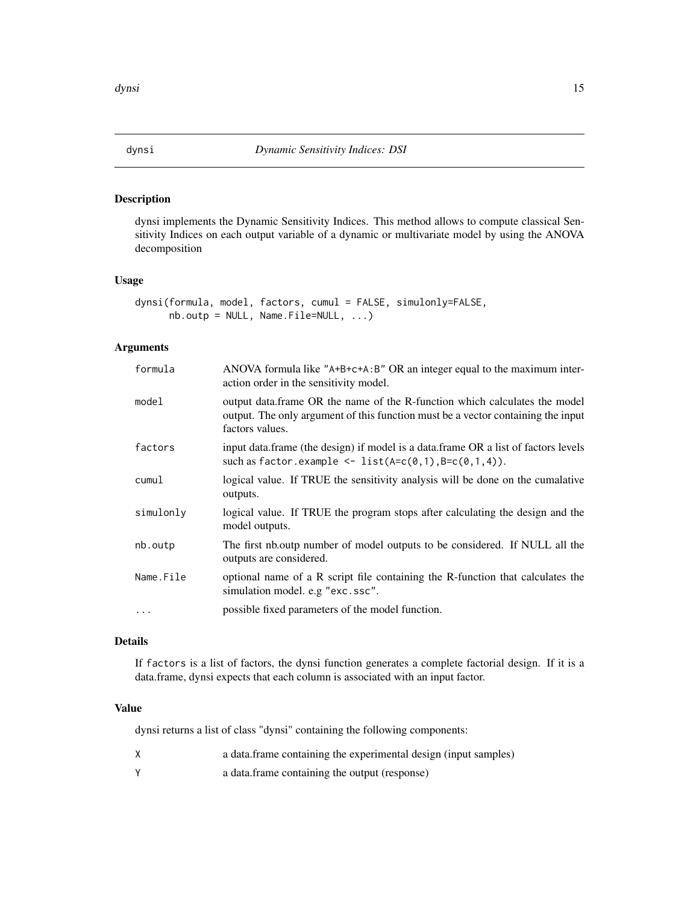<span id="page-14-1"></span><span id="page-14-0"></span>

#### Description

dynsi implements the Dynamic Sensitivity Indices. This method allows to compute classical Sensitivity Indices on each output variable of a dynamic or multivariate model by using the ANOVA decomposition

#### Usage

```
dynsi(formula, model, factors, cumul = FALSE, simulonly=FALSE,
     nb.outp = NULL, Name.File= NULL, ...)
```
# Arguments

| formula   | ANOVA formula like "A+B+c+A:B" OR an integer equal to the maximum inter-<br>action order in the sensitivity model.                                                                |
|-----------|-----------------------------------------------------------------------------------------------------------------------------------------------------------------------------------|
| model     | output data.frame OR the name of the R-function which calculates the model<br>output. The only argument of this function must be a vector containing the input<br>factors values. |
| factors   | input data.frame (the design) if model is a data.frame OR a list of factors levels<br>such as factor. example $\leq$ list(A=c(0,1),B=c(0,1,4)).                                   |
| cumul     | logical value. If TRUE the sensitivity analysis will be done on the cumalative<br>outputs.                                                                                        |
| simulonly | logical value. If TRUE the program stops after calculating the design and the<br>model outputs.                                                                                   |
| nb.outp   | The first nb. outp number of model outputs to be considered. If NULL all the<br>outputs are considered.                                                                           |
| Name.File | optional name of a R script file containing the R-function that calculates the<br>simulation model. e.g "exc.ssc".                                                                |
| $\ddots$  | possible fixed parameters of the model function.                                                                                                                                  |

### Details

If factors is a list of factors, the dynsi function generates a complete factorial design. If it is a data.frame, dynsi expects that each column is associated with an input factor.

#### Value

dynsi returns a list of class "dynsi" containing the following components:

- X a data.frame containing the experimental design (input samples)
- Y a data.frame containing the output (response)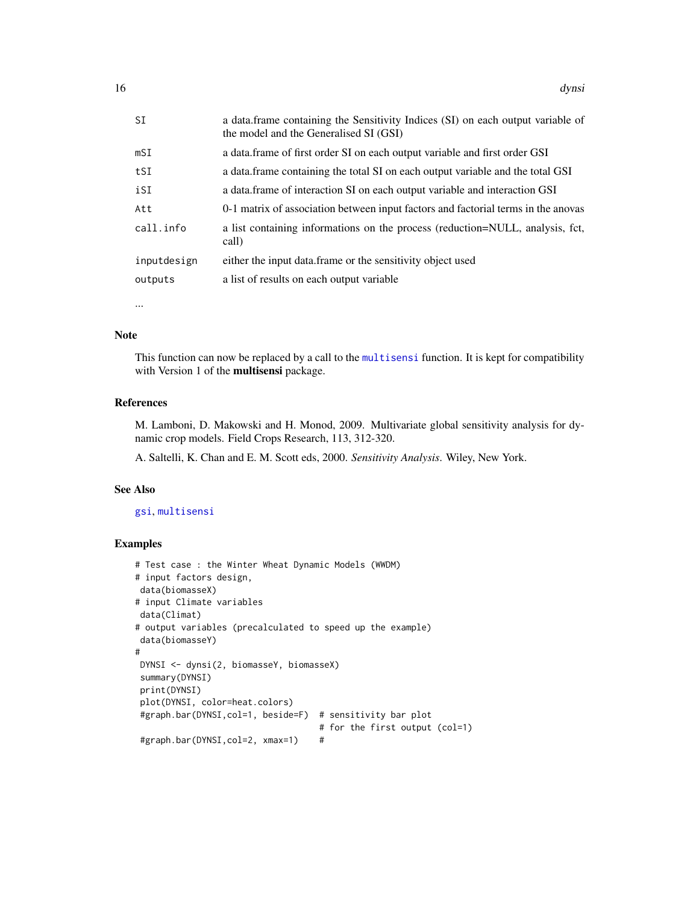<span id="page-15-0"></span>

| SΙ          | a data.frame containing the Sensitivity Indices (SI) on each output variable of<br>the model and the Generalised SI (GSI) |
|-------------|---------------------------------------------------------------------------------------------------------------------------|
| mSI         | a data.frame of first order SI on each output variable and first order GSI                                                |
| tSI         | a data frame containing the total SI on each output variable and the total GSI                                            |
| iSI         | a data. frame of interaction SI on each output variable and interaction GSI                                               |
| Att         | 0-1 matrix of association between input factors and factorial terms in the anovas                                         |
| call.info   | a list containing informations on the process (reduction=NULL, analysis, fct,<br>call)                                    |
| inputdesign | either the input data. frame or the sensitivity object used                                                               |
| outputs     | a list of results on each output variable                                                                                 |
|             |                                                                                                                           |

...

#### Note

This function can now be replaced by a call to the [multisensi](#page-20-1) function. It is kept for compatibility with Version 1 of the multisensi package.

#### References

M. Lamboni, D. Makowski and H. Monod, 2009. Multivariate global sensitivity analysis for dynamic crop models. Field Crops Research, 113, 312-320.

A. Saltelli, K. Chan and E. M. Scott eds, 2000. *Sensitivity Analysis*. Wiley, New York.

# See Also

#### [gsi](#page-18-1), [multisensi](#page-20-1)

#### Examples

```
# Test case : the Winter Wheat Dynamic Models (WWDM)
# input factors design,
data(biomasseX)
# input Climate variables
data(Climat)
# output variables (precalculated to speed up the example)
data(biomasseY)
#
DYNSI <- dynsi(2, biomasseY, biomasseX)
summary(DYNSI)
print(DYNSI)
plot(DYNSI, color=heat.colors)
#graph.bar(DYNSI,col=1, beside=F) # sensitivity bar plot
                                    # for the first output (col=1)
#graph.bar(DYNSI,col=2, xmax=1) #
```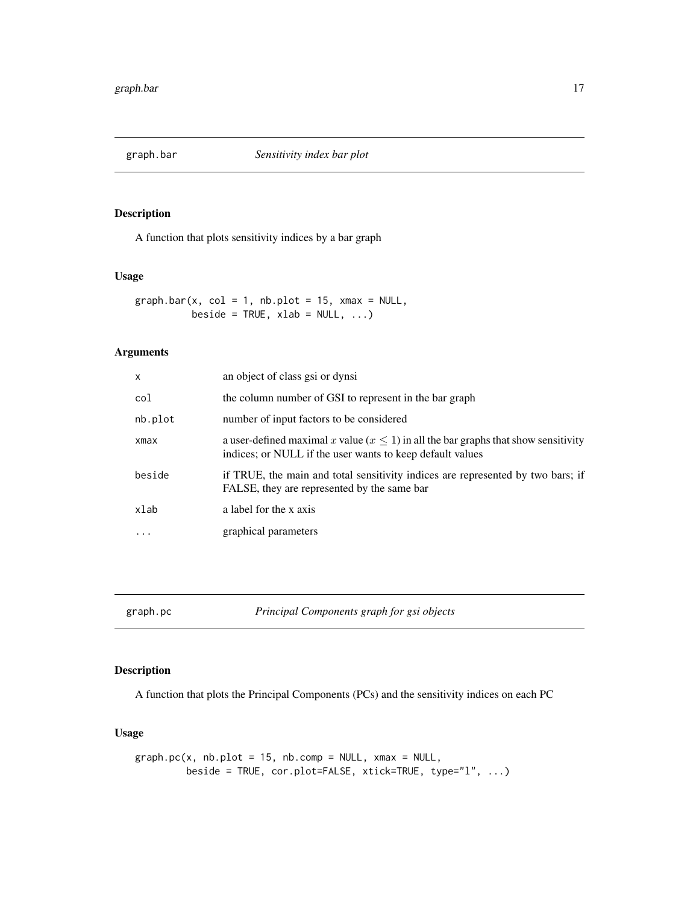<span id="page-16-1"></span><span id="page-16-0"></span>

### Description

A function that plots sensitivity indices by a bar graph

# Usage

 $graphbar(x, col = 1, nb.plot = 15, xmax = NULL,$ beside = TRUE,  $xlab = NULL, ...$ 

# Arguments

| $\times$  | an object of class gsi or dynsi                                                                                                                     |
|-----------|-----------------------------------------------------------------------------------------------------------------------------------------------------|
| col       | the column number of GSI to represent in the bar graph                                                                                              |
| nb.plot   | number of input factors to be considered                                                                                                            |
| xmax      | a user-defined maximal x value $(x \le 1)$ in all the bar graphs that show sensitivity<br>indices; or NULL if the user wants to keep default values |
| beside    | if TRUE, the main and total sensitivity indices are represented by two bars; if<br>FALSE, they are represented by the same bar                      |
| xlab      | a label for the x axis                                                                                                                              |
| $\ddotsc$ | graphical parameters                                                                                                                                |
|           |                                                                                                                                                     |

<span id="page-16-2"></span>graph.pc *Principal Components graph for gsi objects*

# Description

A function that plots the Principal Components (PCs) and the sensitivity indices on each PC

#### Usage

```
graph.pc(x, nb.plot = 15, nb.comp = NULL, xmax = NULL,beside = TRUE, cor.plot=FALSE, xtick=TRUE, type="l", ...)
```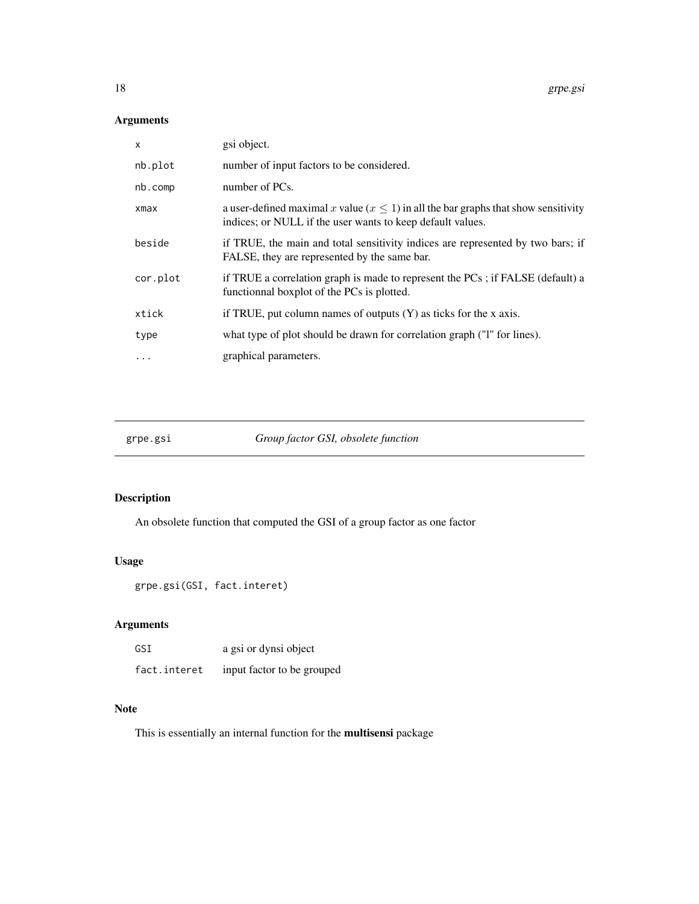# Arguments

| $\times$  | gsi object.                                                                                                                                            |
|-----------|--------------------------------------------------------------------------------------------------------------------------------------------------------|
| nb.plot   | number of input factors to be considered.                                                                                                              |
| nb.comp   | number of PCs.                                                                                                                                         |
| xmax      | a user-defined maximal x value ( $x \le 1$ ) in all the bar graphs that show sensitivity<br>indices; or NULL if the user wants to keep default values. |
| beside    | if TRUE, the main and total sensitivity indices are represented by two bars; if<br>FALSE, they are represented by the same bar.                        |
| cor.plot  | if TRUE a correlation graph is made to represent the PCs; if FALSE (default) a<br>functional boxplot of the PCs is plotted.                            |
| xtick     | if TRUE, put column names of outputs $(Y)$ as ticks for the x axis.                                                                                    |
| type      | what type of plot should be drawn for correlation graph ("I" for lines).                                                                               |
| $\ddotsc$ | graphical parameters.                                                                                                                                  |

grpe.gsi *Group factor GSI, obsolete function*

# Description

An obsolete function that computed the GSI of a group factor as one factor

# Usage

grpe.gsi(GSI, fact.interet)

# Arguments

| GSI          | a gsi or dynsi object      |
|--------------|----------------------------|
| fact.interet | input factor to be grouped |

# Note

This is essentially an internal function for the multisensi package

<span id="page-17-0"></span>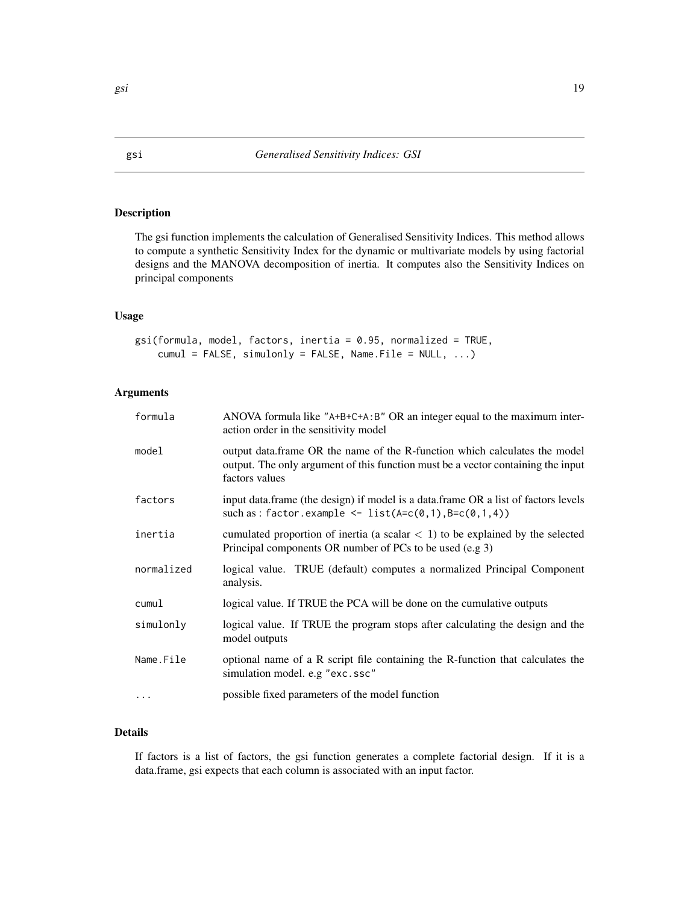# <span id="page-18-1"></span><span id="page-18-0"></span>Description

The gsi function implements the calculation of Generalised Sensitivity Indices. This method allows to compute a synthetic Sensitivity Index for the dynamic or multivariate models by using factorial designs and the MANOVA decomposition of inertia. It computes also the Sensitivity Indices on principal components

#### Usage

```
gsi(formula, model, factors, inertia = 0.95, normalized = TRUE,
    cumul = FALSE, simulonly = FALSE, Name.File = NULL, ...)
```
# Arguments

| formula    | ANOVA formula like "A+B+C+A:B" OR an integer equal to the maximum inter-<br>action order in the sensitivity model                                                                |
|------------|----------------------------------------------------------------------------------------------------------------------------------------------------------------------------------|
| model      | output data.frame OR the name of the R-function which calculates the model<br>output. The only argument of this function must be a vector containing the input<br>factors values |
| factors    | input data.frame (the design) if model is a data.frame OR a list of factors levels<br>such as: factor.example <- list( $A=c(0,1), B=c(0,1,4)$ )                                  |
| inertia    | cumulated proportion of inertia (a scalar $\lt 1$ ) to be explained by the selected<br>Principal components OR number of PCs to be used (e.g 3)                                  |
| normalized | logical value. TRUE (default) computes a normalized Principal Component<br>analysis.                                                                                             |
| cumul      | logical value. If TRUE the PCA will be done on the cumulative outputs                                                                                                            |
| simulonly  | logical value. If TRUE the program stops after calculating the design and the<br>model outputs                                                                                   |
| Name.File  | optional name of a R script file containing the R-function that calculates the<br>simulation model. e.g "exc.ssc"                                                                |
|            | possible fixed parameters of the model function                                                                                                                                  |

# Details

If factors is a list of factors, the gsi function generates a complete factorial design. If it is a data.frame, gsi expects that each column is associated with an input factor.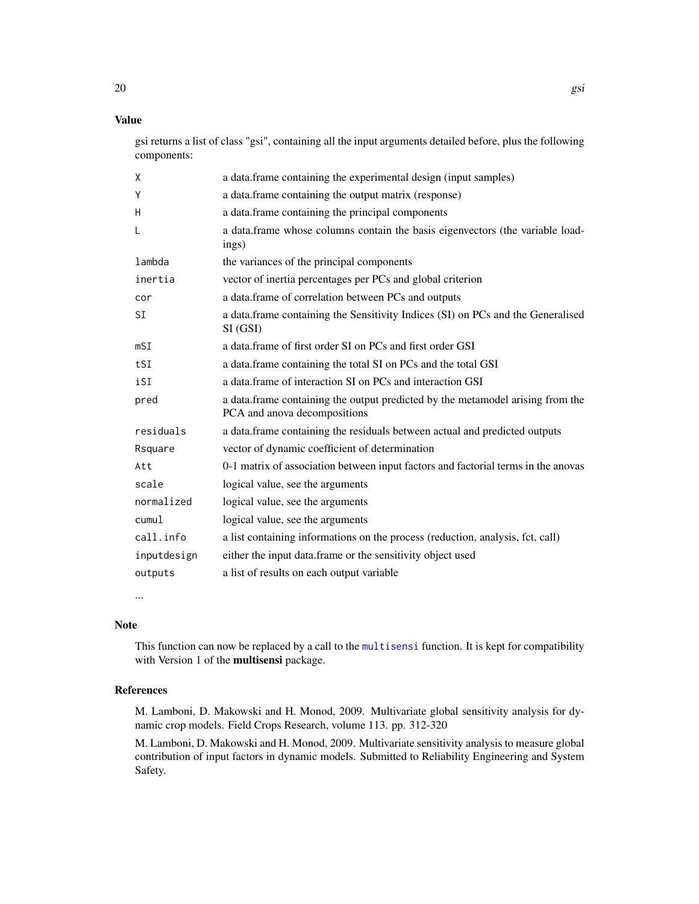# <span id="page-19-0"></span>Value

gsi returns a list of class "gsi", containing all the input arguments detailed before, plus the following components:

| X           | a data. frame containing the experimental design (input samples)                                                |
|-------------|-----------------------------------------------------------------------------------------------------------------|
| Y           | a data.frame containing the output matrix (response)                                                            |
| H           | a data.frame containing the principal components                                                                |
| L           | a data.frame whose columns contain the basis eigenvectors (the variable load-<br>ings)                          |
| lambda      | the variances of the principal components                                                                       |
| inertia     | vector of inertia percentages per PCs and global criterion                                                      |
| cor         | a data.frame of correlation between PCs and outputs                                                             |
| <b>SI</b>   | a data.frame containing the Sensitivity Indices (SI) on PCs and the Generalised<br>SI (GSI)                     |
| mST         | a data frame of first order SI on PCs and first order GSI                                                       |
| tSI         | a data.frame containing the total SI on PCs and the total GSI                                                   |
| iSI         | a data frame of interaction SI on PCs and interaction GSI                                                       |
| pred        | a data. frame containing the output predicted by the metamodel arising from the<br>PCA and anova decompositions |
| residuals   | a data.frame containing the residuals between actual and predicted outputs                                      |
| Rsquare     | vector of dynamic coefficient of determination                                                                  |
| Att         | 0-1 matrix of association between input factors and factorial terms in the anovas                               |
| scale       | logical value, see the arguments                                                                                |
| normalized  | logical value, see the arguments                                                                                |
| cumul       | logical value, see the arguments                                                                                |
| call.info   | a list containing informations on the process (reduction, analysis, fct, call)                                  |
| inputdesign | either the input data.frame or the sensitivity object used                                                      |
| outputs     | a list of results on each output variable                                                                       |

...

# Note

This function can now be replaced by a call to the [multisensi](#page-20-1) function. It is kept for compatibility with Version 1 of the **multisensi** package.

# References

M. Lamboni, D. Makowski and H. Monod, 2009. Multivariate global sensitivity analysis for dynamic crop models. Field Crops Research, volume 113. pp. 312-320

M. Lamboni, D. Makowski and H. Monod, 2009. Multivariate sensitivity analysis to measure global contribution of input factors in dynamic models. Submitted to Reliability Engineering and System Safety.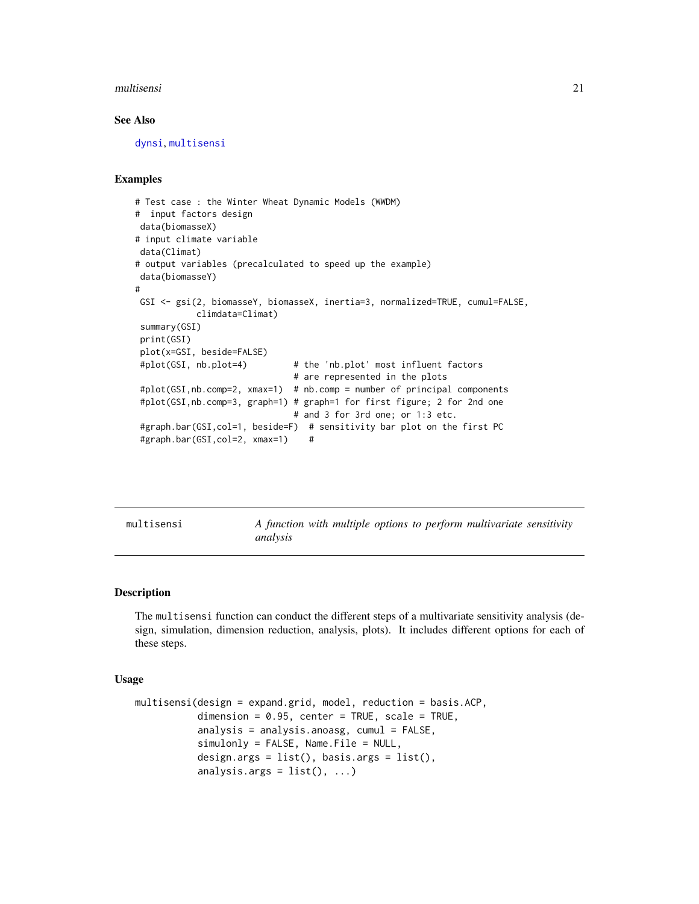#### <span id="page-20-0"></span>multisensi 21

#### See Also

[dynsi](#page-14-1), [multisensi](#page-20-1)

#### Examples

```
# Test case : the Winter Wheat Dynamic Models (WWDM)
# input factors design
data(biomasseX)
# input climate variable
data(Climat)
# output variables (precalculated to speed up the example)
data(biomasseY)
#
GSI <- gsi(2, biomasseY, biomasseX, inertia=3, normalized=TRUE, cumul=FALSE,
           climdata=Climat)
summary(GSI)
print(GSI)
plot(x=GSI, beside=FALSE)
#plot(GSI, nb.plot=4) # the 'nb.plot' most influent factors
                              # are represented in the plots
#plot(GSI,nb.comp=2, xmax=1) # nb.comp = number of principal components
#plot(GSI,nb.comp=3, graph=1) # graph=1 for first figure; 2 for 2nd one
                              # and 3 for 3rd one; or 1:3 etc.
#graph.bar(GSI,col=1, beside=F) # sensitivity bar plot on the first PC
#graph.bar(GSI,col=2, xmax=1) #
```
<span id="page-20-1"></span>multisensi *A function with multiple options to perform multivariate sensitivity analysis*

#### Description

The multisensi function can conduct the different steps of a multivariate sensitivity analysis (design, simulation, dimension reduction, analysis, plots). It includes different options for each of these steps.

#### Usage

```
multisensi(design = expand.grid, model, reduction = basis.ACP,
           dimension = 0.95, center = TRUE, scale = TRUE,
           analysis = analysis.anoasg, cumul = FALSE,
           simlonly = FALSE, Name. File = NULL,
           design.args = list(), basis.args = list(),
           analysis.args = list(), ...)
```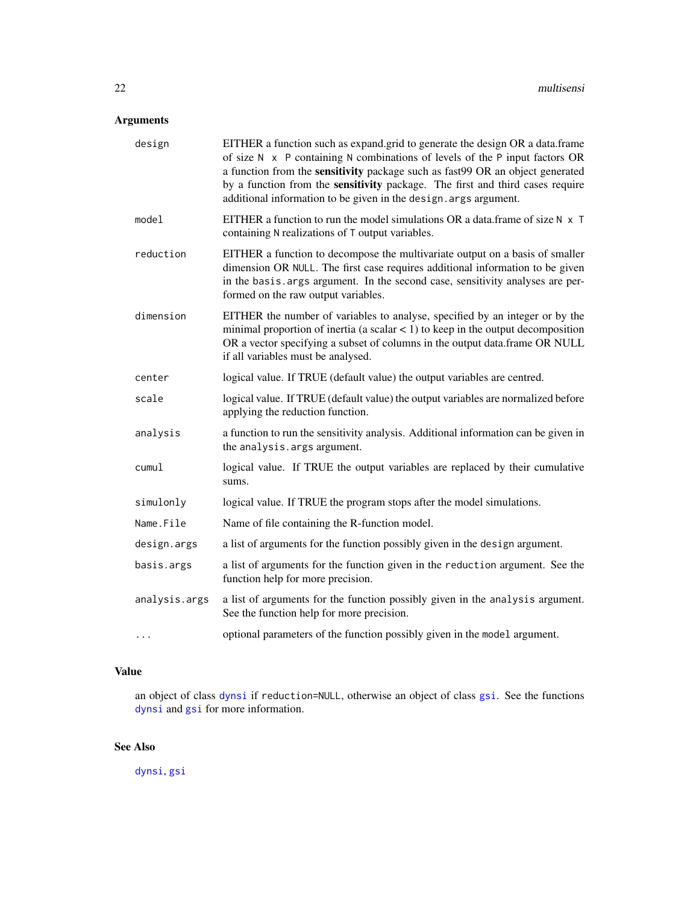# <span id="page-21-0"></span>Arguments

| design        | EITHER a function such as expand.grid to generate the design OR a data.frame<br>of size $N \times P$ containing N combinations of levels of the P input factors OR<br>a function from the sensitivity package such as fast99 OR an object generated<br>by a function from the sensitivity package. The first and third cases require<br>additional information to be given in the design. args argument. |
|---------------|----------------------------------------------------------------------------------------------------------------------------------------------------------------------------------------------------------------------------------------------------------------------------------------------------------------------------------------------------------------------------------------------------------|
| model         | EITHER a function to run the model simulations OR a data.frame of size $N \times T$<br>containing N realizations of T output variables.                                                                                                                                                                                                                                                                  |
| reduction     | EITHER a function to decompose the multivariate output on a basis of smaller<br>dimension OR NULL. The first case requires additional information to be given<br>in the basis. args argument. In the second case, sensitivity analyses are per-<br>formed on the raw output variables.                                                                                                                   |
| dimension     | EITHER the number of variables to analyse, specified by an integer or by the<br>minimal proportion of inertia (a scalar $\lt 1$ ) to keep in the output decomposition<br>OR a vector specifying a subset of columns in the output data.frame OR NULL<br>if all variables must be analysed.                                                                                                               |
| center        | logical value. If TRUE (default value) the output variables are centred.                                                                                                                                                                                                                                                                                                                                 |
| scale         | logical value. If TRUE (default value) the output variables are normalized before<br>applying the reduction function.                                                                                                                                                                                                                                                                                    |
| analysis      | a function to run the sensitivity analysis. Additional information can be given in<br>the analysis. args argument.                                                                                                                                                                                                                                                                                       |
| cumul         | logical value. If TRUE the output variables are replaced by their cumulative<br>sums.                                                                                                                                                                                                                                                                                                                    |
| simulonly     | logical value. If TRUE the program stops after the model simulations.                                                                                                                                                                                                                                                                                                                                    |
| Name.File     | Name of file containing the R-function model.                                                                                                                                                                                                                                                                                                                                                            |
| design.args   | a list of arguments for the function possibly given in the design argument.                                                                                                                                                                                                                                                                                                                              |
| basis.args    | a list of arguments for the function given in the reduction argument. See the<br>function help for more precision.                                                                                                                                                                                                                                                                                       |
| analysis.args | a list of arguments for the function possibly given in the analysis argument.<br>See the function help for more precision.                                                                                                                                                                                                                                                                               |
| $\cdots$      | optional parameters of the function possibly given in the model argument.                                                                                                                                                                                                                                                                                                                                |

# Value

an object of class [dynsi](#page-14-1) if reduction=NULL, otherwise an object of class [gsi](#page-18-1). See the functions [dynsi](#page-14-1) and [gsi](#page-18-1) for more information.

# See Also

[dynsi](#page-14-1), [gsi](#page-18-1)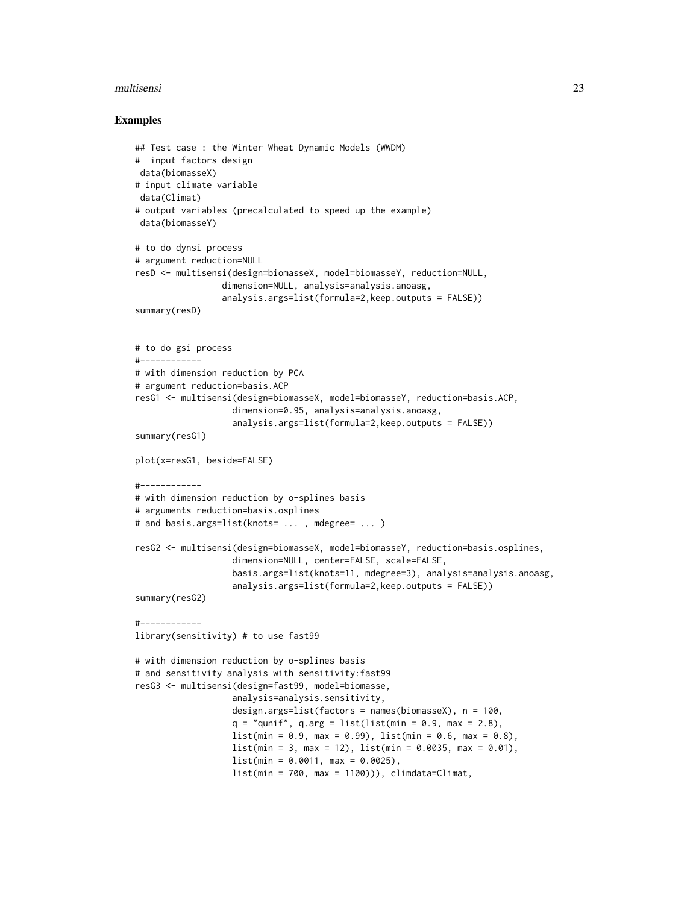#### multisensi 23

#### Examples

```
## Test case : the Winter Wheat Dynamic Models (WWDM)
# input factors design
data(biomasseX)
# input climate variable
data(Climat)
# output variables (precalculated to speed up the example)
data(biomasseY)
# to do dynsi process
# argument reduction=NULL
resD <- multisensi(design=biomasseX, model=biomasseY, reduction=NULL,
                 dimension=NULL, analysis=analysis.anoasg,
                 analysis.args=list(formula=2,keep.outputs = FALSE))
summary(resD)
# to do gsi process
#------------
# with dimension reduction by PCA
# argument reduction=basis.ACP
resG1 <- multisensi(design=biomasseX, model=biomasseY, reduction=basis.ACP,
                   dimension=0.95, analysis=analysis.anoasg,
                   analysis.args=list(formula=2,keep.outputs = FALSE))
summary(resG1)
plot(x=resG1, beside=FALSE)
#------------
# with dimension reduction by o-splines basis
# arguments reduction=basis.osplines
# and basis.args=list(knots= ... , mdegree= ... )
resG2 <- multisensi(design=biomasseX, model=biomasseY, reduction=basis.osplines,
                   dimension=NULL, center=FALSE, scale=FALSE,
                   basis.args=list(knots=11, mdegree=3), analysis=analysis.anoasg,
                   analysis.args=list(formula=2,keep.outputs = FALSE))
summary(resG2)
#------------
library(sensitivity) # to use fast99
# with dimension reduction by o-splines basis
# and sensitivity analysis with sensitivity:fast99
resG3 <- multisensi(design=fast99, model=biomasse,
                   analysis=analysis.sensitivity,
                   design.args=list(factors = names(biomasseX), n = 100,
                   q = "qunit", q.argv = list(list(min = 0.9, max = 2.8),list(min = 0.9, max = 0.99), list(min = 0.6, max = 0.8),list(min = 3, max = 12), list(min = 0.0035, max = 0.01),list(min = 0.0011, max = 0.0025),
                   list(min = 700, max = 1100)), climdata = Climat,
```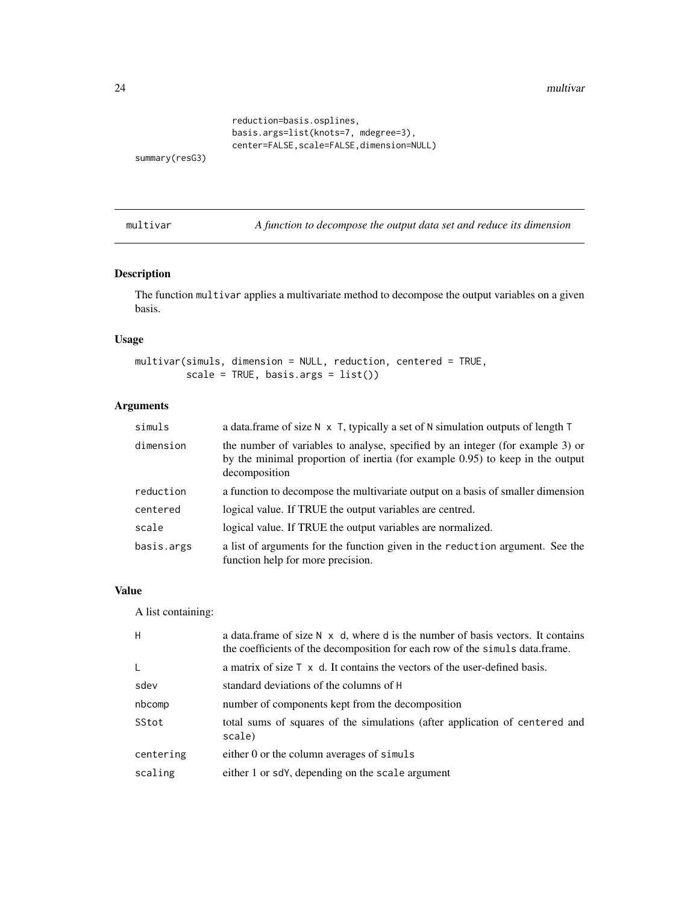<span id="page-23-0"></span>24 multivar

```
reduction=basis.osplines,
basis.args=list(knots=7, mdegree=3),
center=FALSE, scale=FALSE, dimension=NULL)
```
summary(resG3)

multivar *A function to decompose the output data set and reduce its dimension*

# Description

The function multivar applies a multivariate method to decompose the output variables on a given basis.

#### Usage

```
multivar(simuls, dimension = NULL, reduction, centered = TRUE,
        scale = TRUE, basis.args = list())
```
# Arguments

| simuls     | a data.frame of size $N \times T$ , typically a set of N simulation outputs of length T                                                                                          |
|------------|----------------------------------------------------------------------------------------------------------------------------------------------------------------------------------|
| dimension  | the number of variables to analyse, specified by an integer (for example 3) or<br>by the minimal proportion of inertia (for example 0.95) to keep in the output<br>decomposition |
| reduction  | a function to decompose the multivariate output on a basis of smaller dimension                                                                                                  |
| centered   | logical value. If TRUE the output variables are centred.                                                                                                                         |
| scale      | logical value. If TRUE the output variables are normalized.                                                                                                                      |
| basis.args | a list of arguments for the function given in the reduction argument. See the<br>function help for more precision.                                                               |

#### Value

A list containing:

| H            | a data. frame of size $N \times d$ , where d is the number of basis vectors. It contains<br>the coefficients of the decomposition for each row of the simuls data.frame. |
|--------------|--------------------------------------------------------------------------------------------------------------------------------------------------------------------------|
| $\mathsf{L}$ | a matrix of size $\top$ x d. It contains the vectors of the user-defined basis.                                                                                          |
| sdev         | standard deviations of the columns of H                                                                                                                                  |
| nbcomp       | number of components kept from the decomposition                                                                                                                         |
| SStot        | total sums of squares of the simulations (after application of centered and<br>scale)                                                                                    |
| centering    | either 0 or the column averages of simuls                                                                                                                                |
| scaling      | either 1 or sdY, depending on the scale argument                                                                                                                         |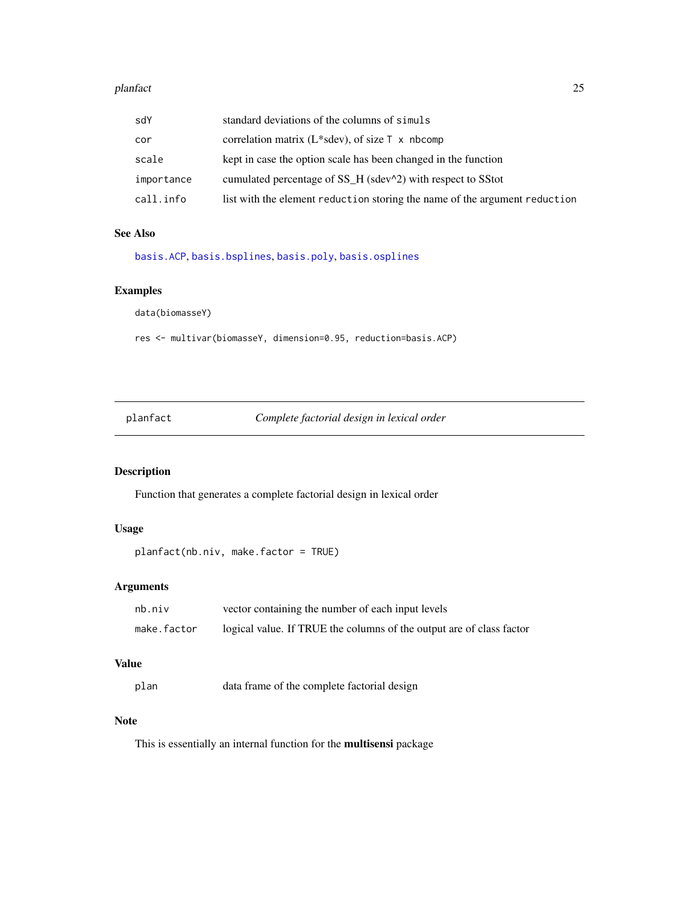#### <span id="page-24-0"></span>planfact 25

| sdY        | standard deviations of the columns of simuls                               |
|------------|----------------------------------------------------------------------------|
| cor        | correlation matrix ( $L$ *sdev), of size $\top$ x nbcomp                   |
| scale      | kept in case the option scale has been changed in the function             |
| importance | cumulated percentage of SS_H (sdev^2) with respect to SStot                |
| call.info  | list with the element reduction storing the name of the argument reduction |

# See Also

[basis.ACP](#page-5-1), [basis.bsplines](#page-6-1), [basis.poly](#page-9-1), [basis.osplines](#page-8-1)

# Examples

data(biomasseY)

res <- multivar(biomasseY, dimension=0.95, reduction=basis.ACP)

planfact *Complete factorial design in lexical order*

# Description

Function that generates a complete factorial design in lexical order

## Usage

```
planfact(nb.niv, make.factor = TRUE)
```
# Arguments

| nb.niv      | vector containing the number of each input levels                    |
|-------------|----------------------------------------------------------------------|
| make.factor | logical value. If TRUE the columns of the output are of class factor |

#### Value

plan data frame of the complete factorial design

#### Note

This is essentially an internal function for the multisensi package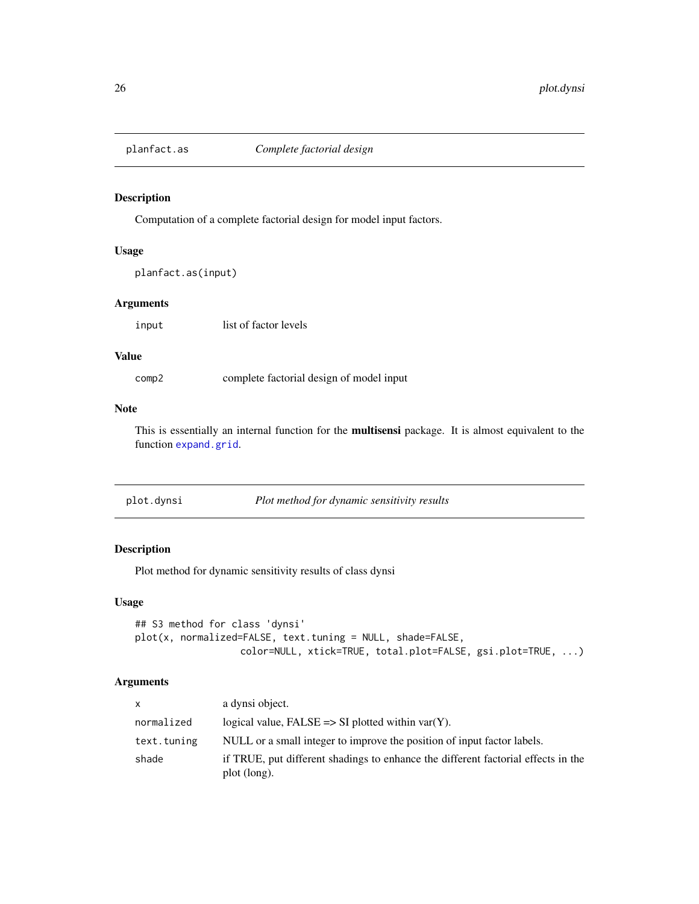<span id="page-25-0"></span>

#### Description

Computation of a complete factorial design for model input factors.

# Usage

```
planfact.as(input)
```
#### Arguments

input list of factor levels

#### Value

comp2 complete factorial design of model input

# Note

This is essentially an internal function for the **multisensi** package. It is almost equivalent to the function [expand.grid](#page-0-0).

| plot.dynsi | Plot method for dynamic sensitivity results |
|------------|---------------------------------------------|
|------------|---------------------------------------------|

# Description

Plot method for dynamic sensitivity results of class dynsi

# Usage

```
## S3 method for class 'dynsi'
plot(x, normalized=FALSE, text.tuning = NULL, shade=FALSE,
                  color=NULL, xtick=TRUE, total.plot=FALSE, gsi.plot=TRUE, ...)
```
# Arguments

| X           | a dynsi object.                                                                                   |
|-------------|---------------------------------------------------------------------------------------------------|
| normalized  | logical value, $FALSE \Rightarrow SI$ plotted within var(Y).                                      |
| text.tuning | NULL or a small integer to improve the position of input factor labels.                           |
| shade       | if TRUE, put different shadings to enhance the different factorial effects in the<br>plot (long). |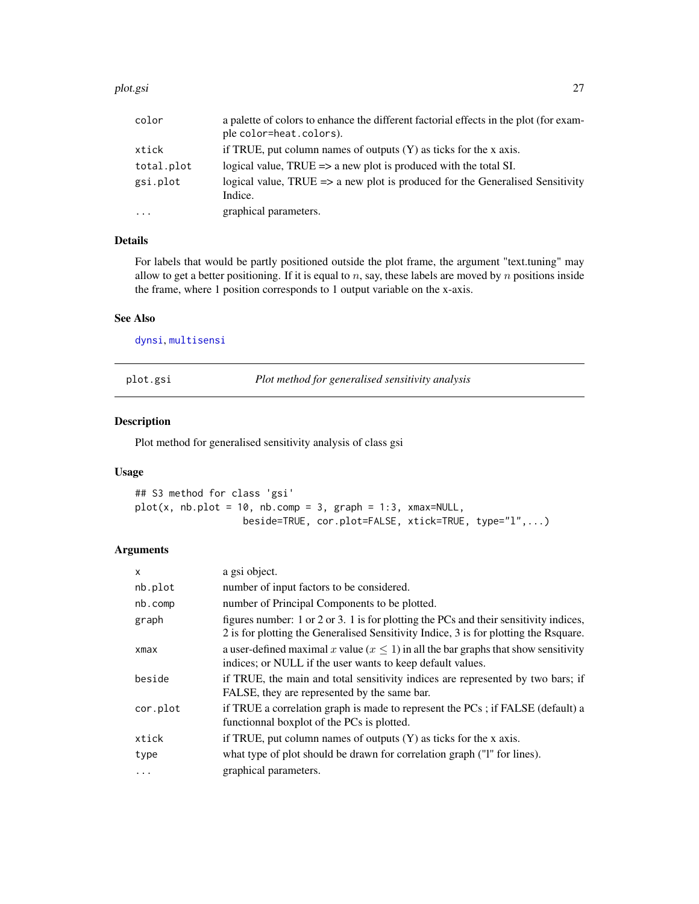#### <span id="page-26-0"></span>plot.gsi 27

| color      | a palette of colors to enhance the different factorial effects in the plot (for exam-               |
|------------|-----------------------------------------------------------------------------------------------------|
|            | ple color=heat.colors).                                                                             |
| xtick      | if TRUE, put column names of outputs $(Y)$ as ticks for the x axis.                                 |
| total.plot | logical value, $TRUE \Rightarrow$ a new plot is produced with the total SI.                         |
| gsi.plot   | logical value, TRUE $\Rightarrow$ a new plot is produced for the Generalised Sensitivity<br>Indice. |
| $\cdot$    | graphical parameters.                                                                               |

# Details

For labels that would be partly positioned outside the plot frame, the argument "text.tuning" may allow to get a better positioning. If it is equal to  $n$ , say, these labels are moved by  $n$  positions inside the frame, where 1 position corresponds to 1 output variable on the x-axis.

# See Also

[dynsi](#page-14-1), [multisensi](#page-20-1)

plot.gsi *Plot method for generalised sensitivity analysis*

#### Description

Plot method for generalised sensitivity analysis of class gsi

# Usage

## S3 method for class 'gsi'  $plot(x, nb.plot = 10, nb.comp = 3, graph = 1:3, xmax=NULL,$ beside=TRUE, cor.plot=FALSE, xtick=TRUE, type="l",...)

# Arguments

| X        | a gsi object.                                                                                                                                                                 |
|----------|-------------------------------------------------------------------------------------------------------------------------------------------------------------------------------|
| nb.plot  | number of input factors to be considered.                                                                                                                                     |
| nb.comp  | number of Principal Components to be plotted.                                                                                                                                 |
| graph    | figures number: 1 or 2 or 3. 1 is for plotting the PCs and their sensitivity indices,<br>2 is for plotting the Generalised Sensitivity Indice, 3 is for plotting the Rsquare. |
| xmax     | a user-defined maximal x value ( $x \le 1$ ) in all the bar graphs that show sensitivity<br>indices; or NULL if the user wants to keep default values.                        |
| beside   | if TRUE, the main and total sensitivity indices are represented by two bars; if<br>FALSE, they are represented by the same bar.                                               |
| cor.plot | if TRUE a correlation graph is made to represent the PCs; if FALSE (default) a<br>functionnal boxplot of the PCs is plotted.                                                  |
| xtick    | if TRUE, put column names of outputs $(Y)$ as ticks for the x axis.                                                                                                           |
| type     | what type of plot should be drawn for correlation graph ("1" for lines).                                                                                                      |
| $\cdots$ | graphical parameters.                                                                                                                                                         |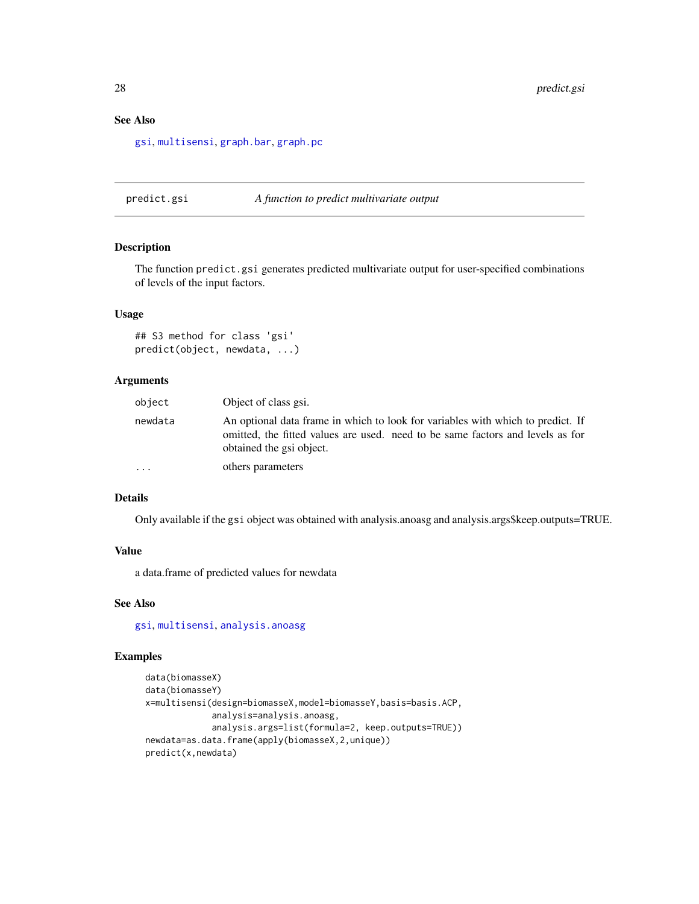# See Also

[gsi](#page-18-1), [multisensi](#page-20-1), [graph.bar](#page-16-1), [graph.pc](#page-16-2)

predict.gsi *A function to predict multivariate output*

#### Description

The function predict.gsi generates predicted multivariate output for user-specified combinations of levels of the input factors.

# Usage

```
## S3 method for class 'gsi'
predict(object, newdata, ...)
```
#### Arguments

| object  | Object of class gsi.                                                                                                                                                                          |
|---------|-----------------------------------------------------------------------------------------------------------------------------------------------------------------------------------------------|
| newdata | An optional data frame in which to look for variables with which to predict. If<br>omitted, the fitted values are used, need to be same factors and levels as for<br>obtained the gsi object. |
| .       | others parameters                                                                                                                                                                             |

# Details

Only available if the gsi object was obtained with analysis.anoasg and analysis.args\$keep.outputs=TRUE.

#### Value

a data.frame of predicted values for newdata

#### See Also

[gsi](#page-18-1), [multisensi](#page-20-1), [analysis.anoasg](#page-2-1)

# Examples

```
data(biomasseX)
data(biomasseY)
x=multisensi(design=biomasseX,model=biomasseY,basis=basis.ACP,
             analysis=analysis.anoasg,
             analysis.args=list(formula=2, keep.outputs=TRUE))
newdata=as.data.frame(apply(biomasseX,2,unique))
predict(x,newdata)
```
<span id="page-27-0"></span>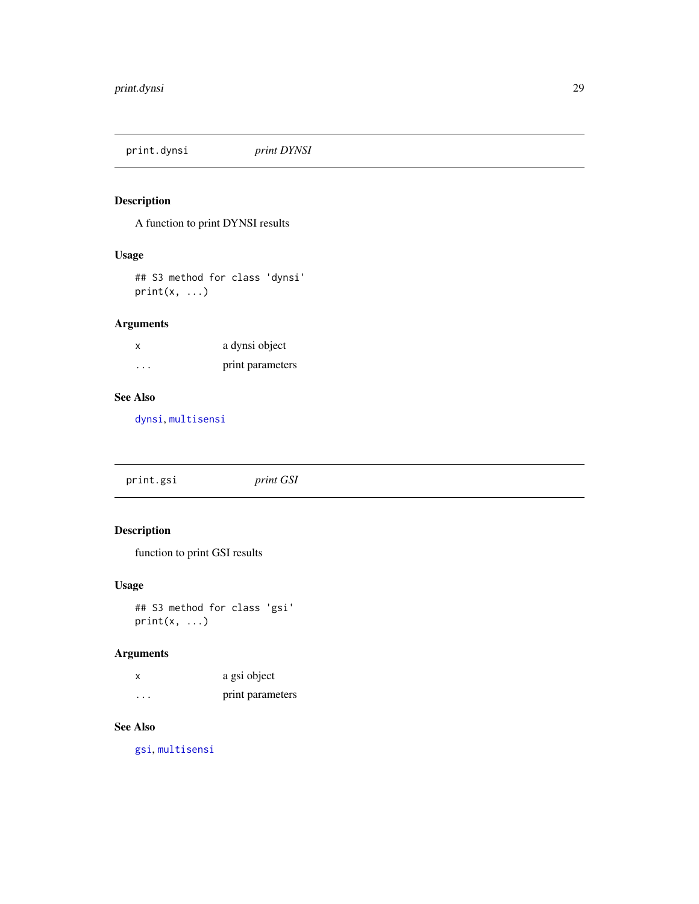<span id="page-28-0"></span>print.dynsi *print DYNSI*

# Description

A function to print DYNSI results

# Usage

## S3 method for class 'dynsi'  $print(x, \ldots)$ 

# Arguments

| x | a dynsi object   |
|---|------------------|
| . | print parameters |

# See Also

[dynsi](#page-14-1), [multisensi](#page-20-1)

print.gsi *print GSI*

# Description

function to print GSI results

# Usage

```
## S3 method for class 'gsi'
print(x, \ldots)
```
# Arguments

| X       | a gsi object     |
|---------|------------------|
| $\cdot$ | print parameters |

# See Also

[gsi](#page-18-1), [multisensi](#page-20-1)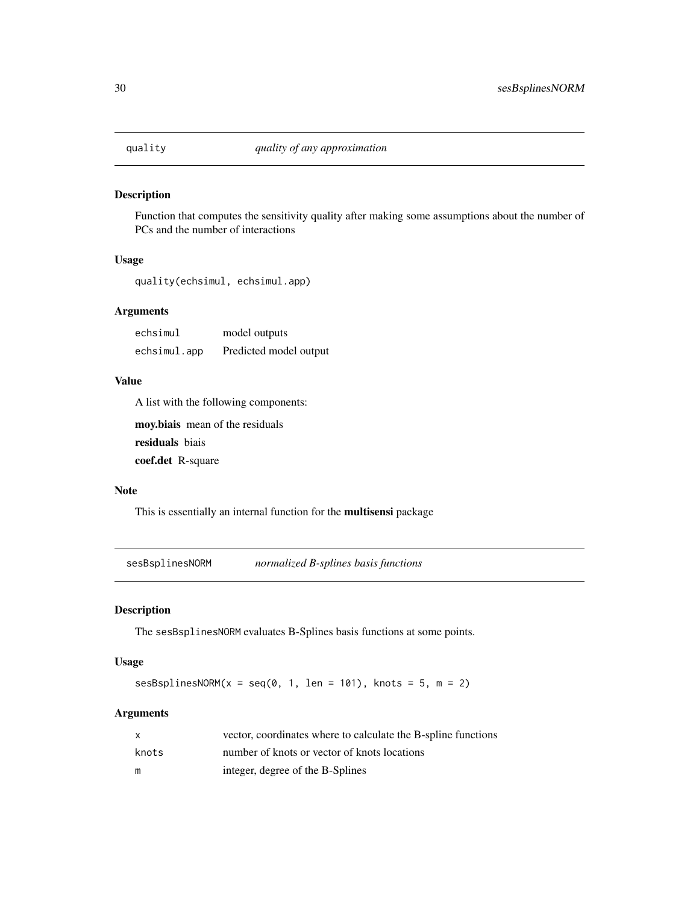<span id="page-29-0"></span>

# Description

Function that computes the sensitivity quality after making some assumptions about the number of PCs and the number of interactions

# Usage

quality(echsimul, echsimul.app)

# Arguments

| echsimul     | model outputs          |
|--------------|------------------------|
| echsimul.app | Predicted model output |

# Value

A list with the following components:

moy.biais mean of the residuals residuals biais

coef.det R-square

# Note

This is essentially an internal function for the multisensi package

<span id="page-29-1"></span>sesBsplinesNORM *normalized B-splines basis functions*

# Description

The sesBsplinesNORM evaluates B-Splines basis functions at some points.

# Usage

 $s$ esBsplinesNORM(x = seq(0, 1, len = 101), knots = 5, m = 2)

#### Arguments

| X     | vector, coordinates where to calculate the B-spline functions |
|-------|---------------------------------------------------------------|
| knots | number of knots or vector of knots locations                  |
| m     | integer, degree of the B-Splines                              |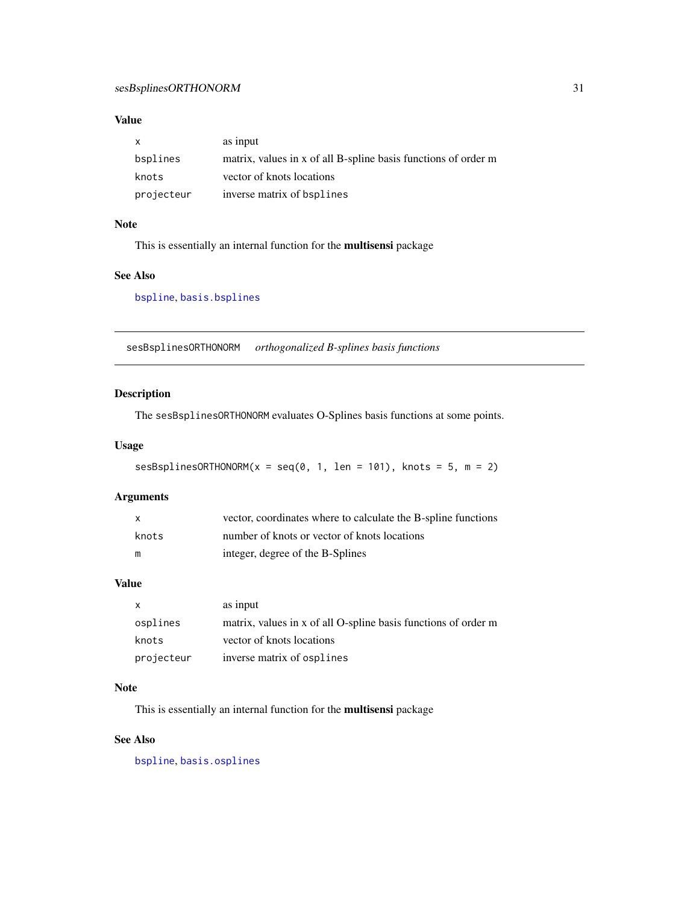# <span id="page-30-0"></span>Value

| X          | as input                                                       |
|------------|----------------------------------------------------------------|
| bsplines   | matrix, values in x of all B-spline basis functions of order m |
| knots      | vector of knots locations                                      |
| projecteur | inverse matrix of bsplines                                     |

## Note

This is essentially an internal function for the multisensi package

# See Also

[bspline](#page-12-1), [basis.bsplines](#page-6-1)

<span id="page-30-1"></span>sesBsplinesORTHONORM *orthogonalized B-splines basis functions*

# Description

The sesBsplinesORTHONORM evaluates O-Splines basis functions at some points.

# Usage

```
sesBsplinesORTHONORM(x = seq(0, 1, len = 101), knots = 5, m = 2)
```
#### Arguments

| X     | vector, coordinates where to calculate the B-spline functions |
|-------|---------------------------------------------------------------|
| knots | number of knots or vector of knots locations                  |
| m     | integer, degree of the B-Splines                              |

# Value

| $\mathsf{x}$ | as input                                                       |
|--------------|----------------------------------------------------------------|
| osplines     | matrix, values in x of all O-spline basis functions of order m |
| knots        | vector of knots locations                                      |
| projecteur   | inverse matrix of osplines                                     |

# Note

This is essentially an internal function for the multisensi package

# See Also

[bspline](#page-12-1), [basis.osplines](#page-8-1)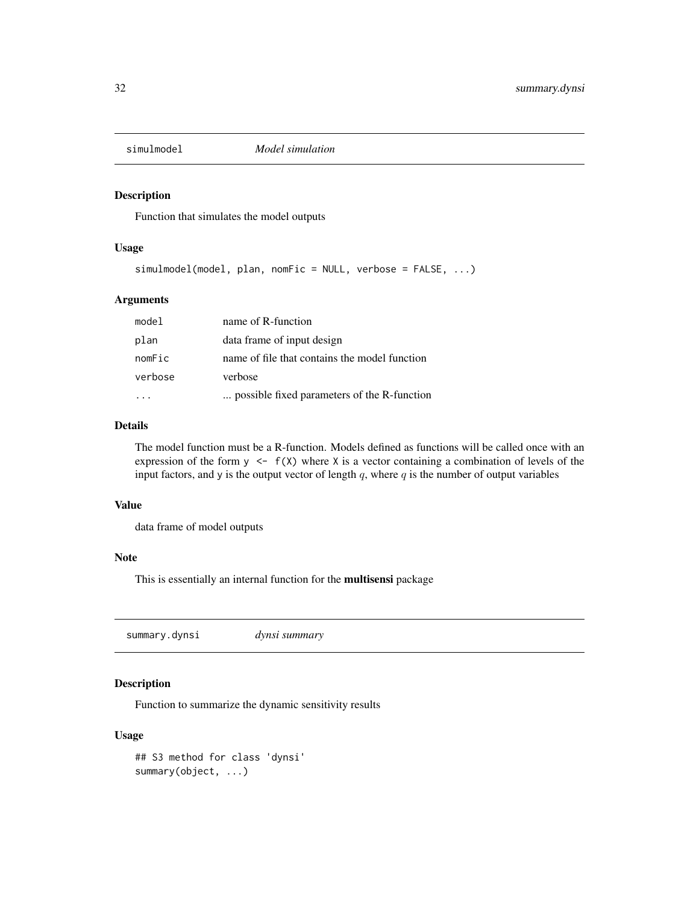<span id="page-31-0"></span>

# Description

Function that simulates the model outputs

#### Usage

simulmodel(model, plan, nomFic = NULL, verbose = FALSE, ...)

# Arguments

| model   | name of R-function                            |
|---------|-----------------------------------------------|
| plan    | data frame of input design                    |
| nomFic  | name of file that contains the model function |
| verbose | verbose                                       |
|         | possible fixed parameters of the R-function   |

#### Details

The model function must be a R-function. Models defined as functions will be called once with an expression of the form  $y \leq f(X)$  where X is a vector containing a combination of levels of the input factors, and y is the output vector of length  $q$ , where  $q$  is the number of output variables

#### Value

data frame of model outputs

# Note

This is essentially an internal function for the multisensi package

summary.dynsi *dynsi summary*

# Description

Function to summarize the dynamic sensitivity results

# Usage

```
## S3 method for class 'dynsi'
summary(object, ...)
```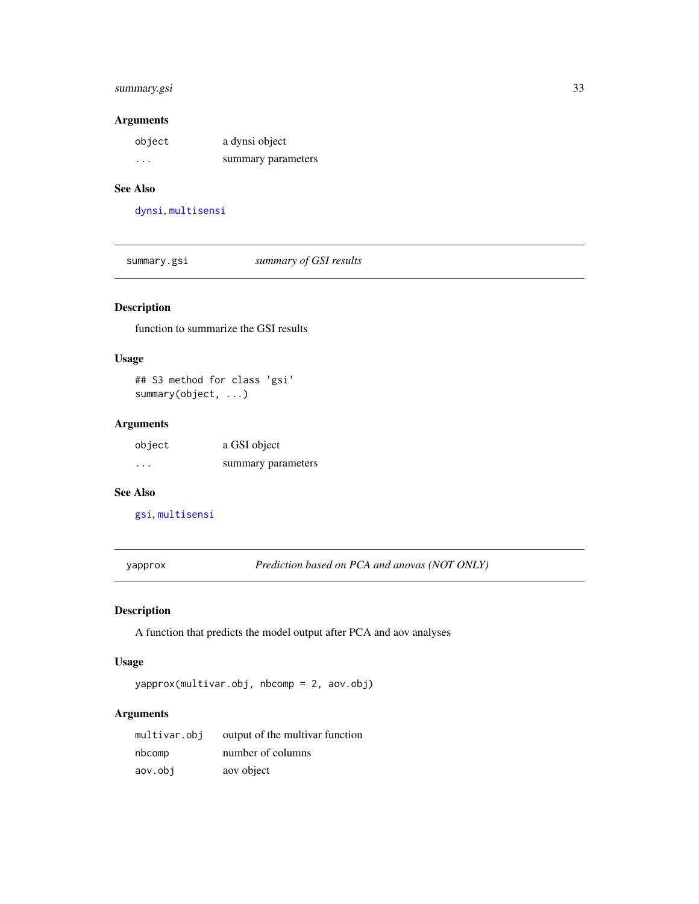# <span id="page-32-0"></span>summary.gsi 33

# Arguments

| object  | a dynsi object     |
|---------|--------------------|
| $\cdot$ | summary parameters |

# See Also

[dynsi](#page-14-1), [multisensi](#page-20-1)

summary.gsi *summary of GSI results*

# Description

function to summarize the GSI results

# Usage

## S3 method for class 'gsi' summary(object, ...)

# Arguments

| object | a GSI object       |
|--------|--------------------|
| .      | summary parameters |

# See Also

[gsi](#page-18-1), [multisensi](#page-20-1)

yapprox *Prediction based on PCA and anovas (NOT ONLY)*

# Description

A function that predicts the model output after PCA and aov analyses

# Usage

yapprox(multivar.obj, nbcomp = 2, aov.obj)

# Arguments

| multivar.obj | output of the multivar function |
|--------------|---------------------------------|
| nbcomp       | number of columns               |
| aov.obi      | aov object                      |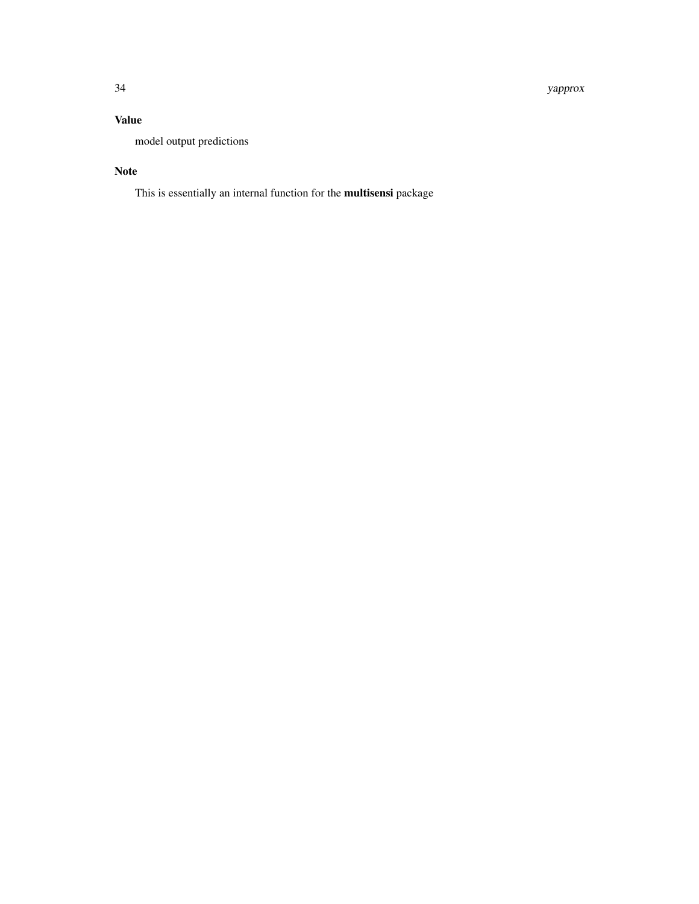34 yapprox

# Value

model output predictions

# Note

This is essentially an internal function for the multisensi package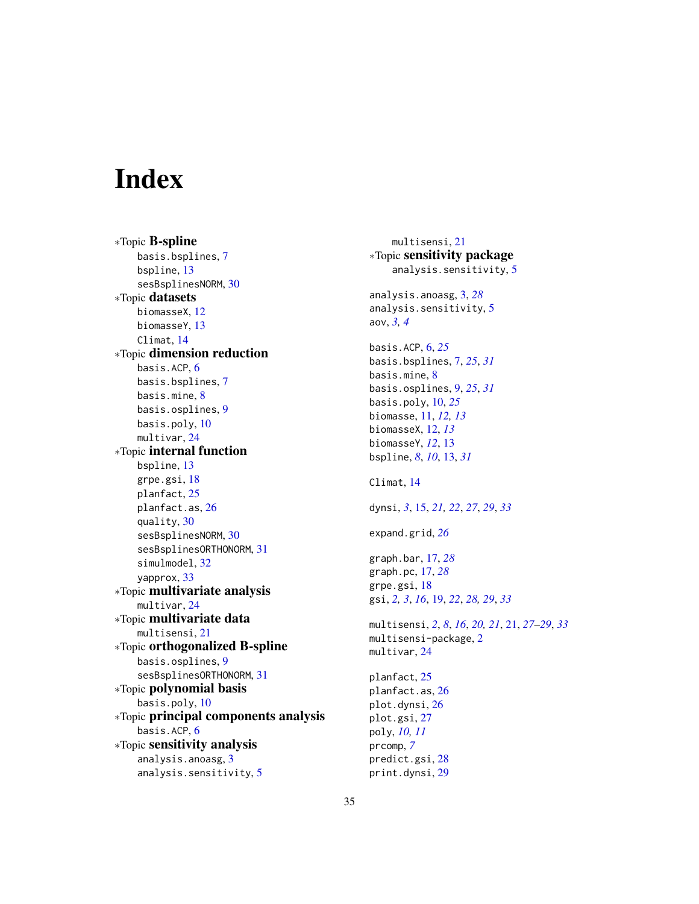# <span id="page-34-0"></span>**Index**

∗Topic B-spline basis.bsplines, [7](#page-6-0) bspline, [13](#page-12-0) sesBsplinesNORM, [30](#page-29-0) ∗Topic datasets biomasseX, [12](#page-11-0) biomasseY, [13](#page-12-0) Climat, [14](#page-13-0) ∗Topic dimension reduction basis.ACP, [6](#page-5-0) basis.bsplines, [7](#page-6-0) basis.mine, [8](#page-7-0) basis.osplines, [9](#page-8-0) basis.poly, [10](#page-9-0) multivar, [24](#page-23-0) ∗Topic internal function bspline, [13](#page-12-0) grpe.gsi, [18](#page-17-0) planfact, [25](#page-24-0) planfact.as, [26](#page-25-0) quality, [30](#page-29-0) sesBsplinesNORM, [30](#page-29-0) sesBsplinesORTHONORM, [31](#page-30-0) simulmodel, [32](#page-31-0) yapprox, [33](#page-32-0) ∗Topic multivariate analysis multivar, [24](#page-23-0) ∗Topic multivariate data multisensi, [21](#page-20-0) ∗Topic orthogonalized B-spline basis.osplines, [9](#page-8-0) sesBsplinesORTHONORM, [31](#page-30-0) ∗Topic polynomial basis basis.poly, [10](#page-9-0) ∗Topic principal components analysis basis.ACP, [6](#page-5-0) ∗Topic sensitivity analysis analysis.anoasg, [3](#page-2-0) analysis.sensitivity, [5](#page-4-0)

multisensi, [21](#page-20-0) ∗Topic sensitivity package analysis.sensitivity, [5](#page-4-0) analysis.anoasg, [3,](#page-2-0) *[28](#page-27-0)* analysis.sensitivity, [5](#page-4-0) aov, *[3,](#page-2-0) [4](#page-3-0)* basis.ACP, [6,](#page-5-0) *[25](#page-24-0)* basis.bsplines, [7,](#page-6-0) *[25](#page-24-0)*, *[31](#page-30-0)* basis.mine, [8](#page-7-0) basis.osplines, [9,](#page-8-0) *[25](#page-24-0)*, *[31](#page-30-0)* basis.poly, [10,](#page-9-0) *[25](#page-24-0)* biomasse, [11,](#page-10-0) *[12,](#page-11-0) [13](#page-12-0)* biomasseX, [12,](#page-11-0) *[13](#page-12-0)* biomasseY, *[12](#page-11-0)*, [13](#page-12-0) bspline, *[8](#page-7-0)*, *[10](#page-9-0)*, [13,](#page-12-0) *[31](#page-30-0)* Climat, [14](#page-13-0) dynsi, *[3](#page-2-0)*, [15,](#page-14-0) *[21,](#page-20-0) [22](#page-21-0)*, *[27](#page-26-0)*, *[29](#page-28-0)*, *[33](#page-32-0)* expand.grid, *[26](#page-25-0)* graph.bar, [17,](#page-16-0) *[28](#page-27-0)* graph.pc, [17,](#page-16-0) *[28](#page-27-0)* grpe.gsi, [18](#page-17-0) gsi, *[2,](#page-1-0) [3](#page-2-0)*, *[16](#page-15-0)*, [19,](#page-18-0) *[22](#page-21-0)*, *[28,](#page-27-0) [29](#page-28-0)*, *[33](#page-32-0)* multisensi, *[2](#page-1-0)*, *[8](#page-7-0)*, *[16](#page-15-0)*, *[20,](#page-19-0) [21](#page-20-0)*, [21,](#page-20-0) *[27](#page-26-0)[–29](#page-28-0)*, *[33](#page-32-0)* multisensi-package, [2](#page-1-0) multivar, [24](#page-23-0) planfact, [25](#page-24-0) planfact.as, [26](#page-25-0) plot.dynsi, [26](#page-25-0) plot.gsi, [27](#page-26-0) poly, *[10,](#page-9-0) [11](#page-10-0)* prcomp, *[7](#page-6-0)* predict.gsi, [28](#page-27-0) print.dynsi, [29](#page-28-0)